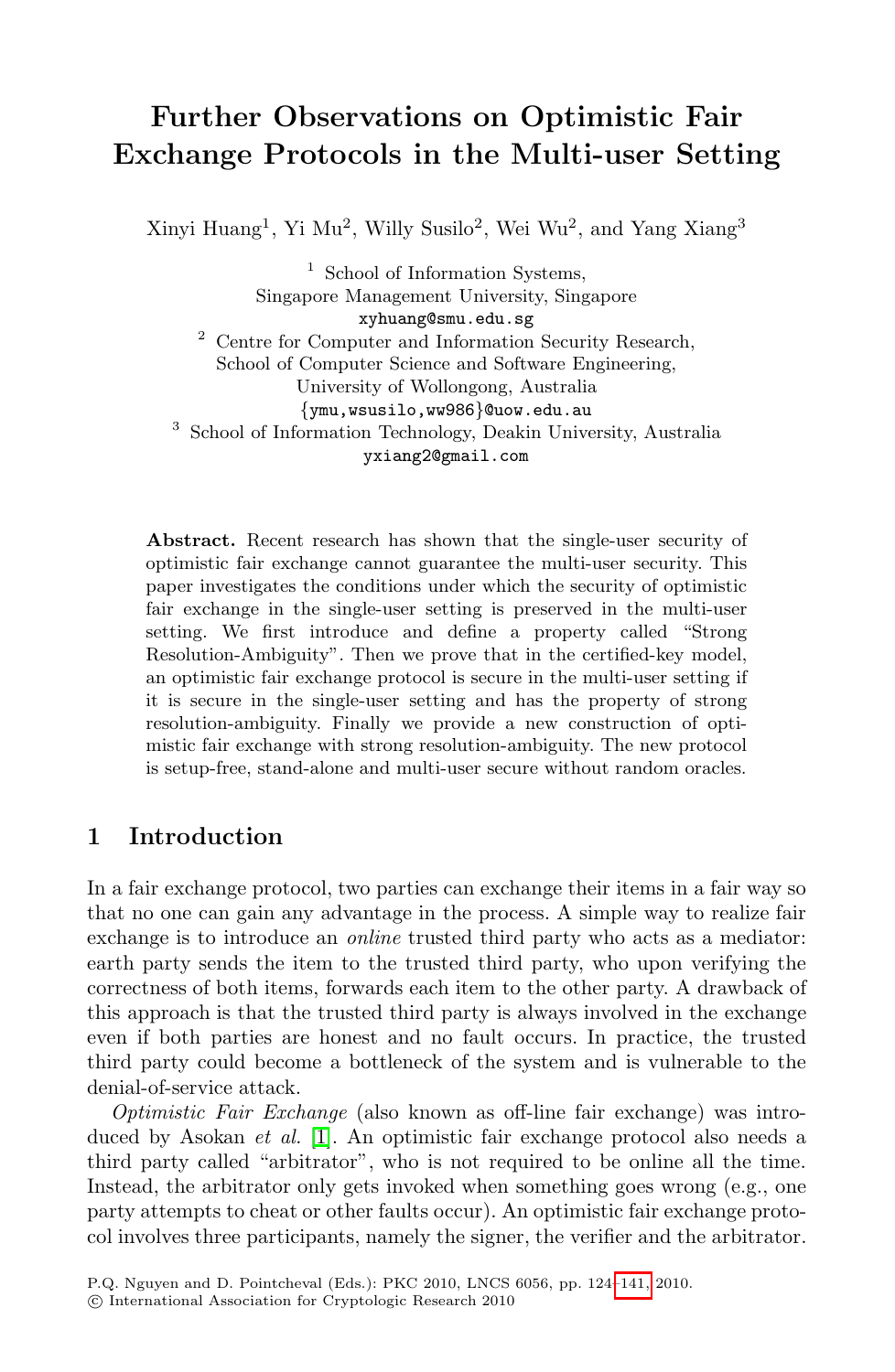# **Further Observations on Optimistic Fair Exchange Protocols in the Multi-user Setting**

Xinyi Huang<sup>1</sup>, Yi Mu<sup>2</sup>, Willy Susilo<sup>2</sup>, Wei Wu<sup>2</sup>, and Yang Xiang<sup>3</sup>

<sup>1</sup> School of Information Systems, Singapore Management University, Singapore xyhuang@smu.edu.sg <sup>2</sup> Centre for Computer and Information Security Research, School of Computer Science and Software Engineering, University of Wollongong, Australia *{*ymu,wsusilo,ww986*}*@uow.edu.au <sup>3</sup> School of Information Technology, Deakin University, Australia yxiang2@gmail.com

Abstract. Recent research has shown that the single-user security of optimistic fair exchange cannot guarantee the multi-user security. This paper investigates the conditions under which the security of optimistic fair exchange in the single-user setting is preserved in the multi-user setting. We first introduce and define a property called "Strong Resolution-Ambiguity". Then we prove that in the certified-key model, an optimistic fair exchange protocol is secure in the multi-user setting if it is secure in the single-user setting and has the property of strong resolution-ambiguity. Finally we provide a new construction of optimistic fair exchange with strong resolution-ambiguity. The new protocol is setup-free, stand-alone and multi-user secure without random oracles.

## **1 Introduction**

In a fair exchange protocol, two parties can exchange their items in a fair way so that no one can gain any advantage in the process. A simple way to realize fair excha[ng](#page-16-0)e is to introduce an *online* trusted third party who acts as a mediator: earth party sends the item to the trusted third party, who upon verifying the correctness of both items, forwards each item to the other party. A drawback of this approach is that the trusted third party is always involved in the exchange even if both parties are honest and no fault occurs. In practice, the trusted third party could become a bottleneck of the system and is vulnerable to the denial-of-service attack.

*Optimistic Fair Exchange* (also kno[wn](#page-17-0) [a](#page-17-0)s off-line fair exchange) was introduced by Asokan *et al.* [1]. An optimistic fair exchange protocol also needs a third party called "arbitrator", who is not required to be online all the time. Instead, the arbitrator only gets invoked when something goes wrong (e.g., one party attempts to cheat or other faults occur). An optimistic fair exchange protocol involves three participants, namely the signer, the verifier and the arbitrator.

P.Q. Nguyen and D. Pointcheval (Eds.): PKC 2010, LNCS 6056, pp. 124–141, 2010.

<sup>-</sup>c International Association for Cryptologic Research 2010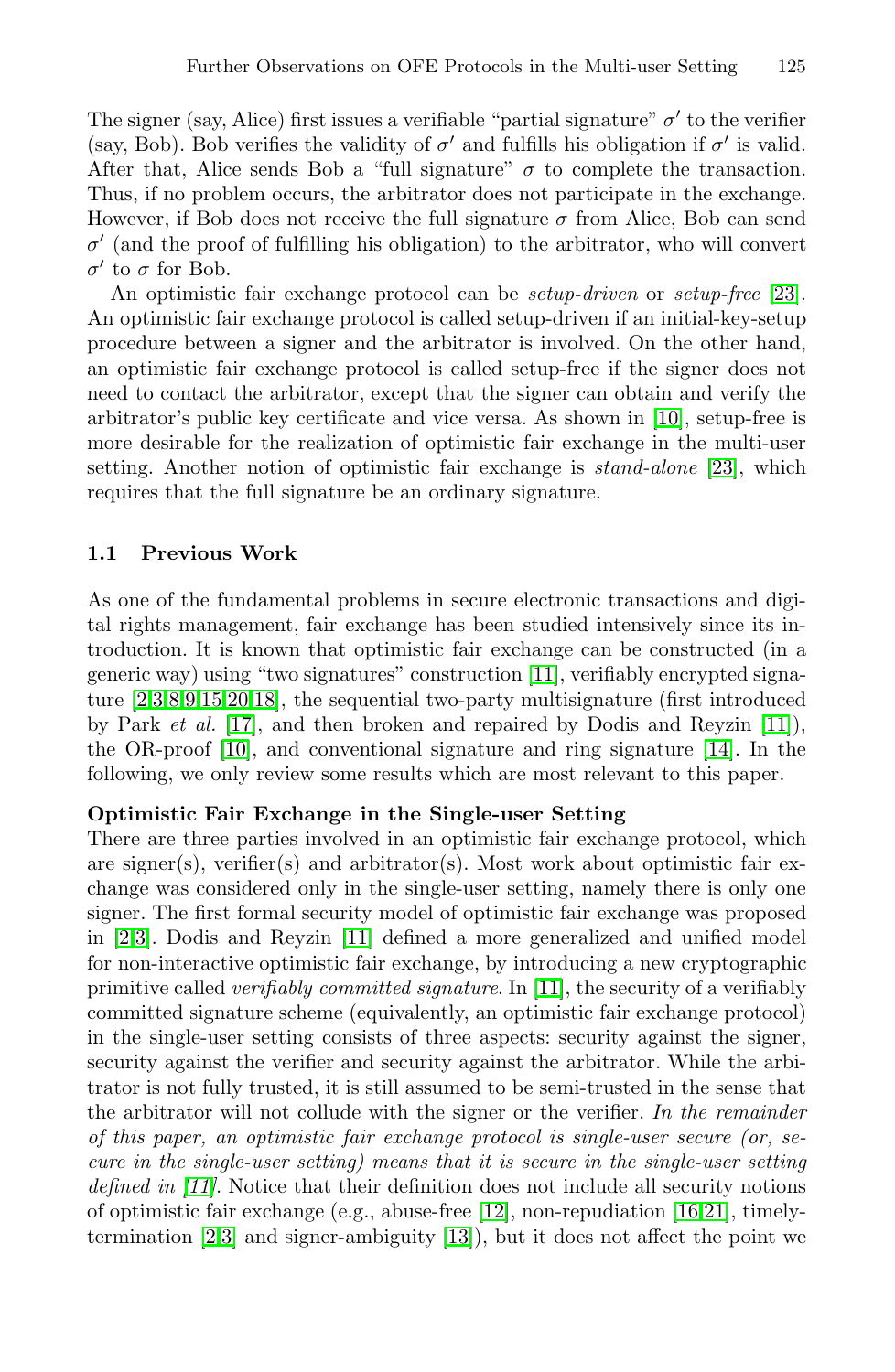The signer (say, Alice) first issues a verifiable "partial sig[natu](#page-17-1)re"  $\sigma'$  to the verifier (say, Bob). Bob verifies the validity of  $\sigma'$  and fulfills his obligation if  $\sigma'$  is valid. After that, Alice sends Bob a "full signature"  $\sigma$  to complete the transaction. Thus, if no problem occurs, the arbitrator does not participate in the exchange. However, if Bob does not receive the full si[gna](#page-16-1)ture  $\sigma$  from Alice, Bob can send  $\sigma'$  (and the proof of fulfilling his obligation) to the arbitrator, who will convert  $\sigma'$  to  $\sigma$  for Bob.

An optimistic fair exchange protocol can be *s[etu](#page-17-1)p-driven* or *setup-free* [23]. An optimistic fair exchange protocol is called setup-driven if an initial-key-setup procedure between a signer and the arbitrator is involved. On the other hand, an optimistic fair exchange protocol is called setup-free if the signer does not need to contact the arbitrator, except that the signer can obtain and verify the arbitrator's public key certificate and vice versa. As shown in [10], setup-free is more desirable for the realization of optimistic fair exchange in the multi-user setting. Another notion of optimistic fair exchange is *stand-alone* [23], which [req](#page-17-2)uires that the full signatur[e](#page-16-2) [b](#page-16-2)e an ordinary signature.

#### **1.1 Previous Work**

As one of the fundamental problems in secure electronic transactions and digital rights management, fair exchange has been studied intensively since its introduction. It is known that optimistic fair exchange can be constructed (in a generic way) using "two signatures" construction [11], verifiably encrypted signature [2,3,8,9,15,20,18], the sequential two-party multisignature (first introduced by Park *et al.* [17], and then broken and repaired by Dodis and Reyzin [11]), the OR-[proo](#page-16-2)f [10], and conventional signature and ring signature [14]. In the following, we only review some results which are most relevant to this paper.

## **Optimistic Fair Exchange [in](#page-16-2) [t](#page-16-2)he Single-user Setting**

There are three parties involved in an optimistic fair exchange protocol, which are signer(s), verifier(s) and arbitrator(s). Most work about optimistic fair exchange was considered only in the single-user setting, namely there is only one signer. The first formal security model of optimistic fair exchange was proposed in [2,3]. Dodis and Reyzin [11] defined a more generalized and unified model for non-interactive optimistic fair exchange, by introducing a new cryptographic primitive called *verifiably committed signature*. In [11], the security of a verifiably committed signature sch[em](#page-16-3)e (equivalently, an [op](#page-16-4)[tim](#page-17-3)istic fair exchange protocol) in the single-user se[ttin](#page-16-5)g consists of three aspects: security against the signer, security against the verifier and security against the arbitrator. While the arbitrator is not fully trusted, it is still assumed to be semi-trusted in the sense that the arbitrator will not collude with the signer or the verifier. *In the remainder of this paper, an optimistic fair exchange protocol is single-user secure (or, secure in the single-user setting) means that it is secure in the single-user setting defined in [11]*. Notice that their definition does not include all security notions of optimistic fair exchange (e.g., abuse-free [12], non-repudiation [16,21], timelytermination [2,3] and signer-ambiguity [13]), but it does not affect the point we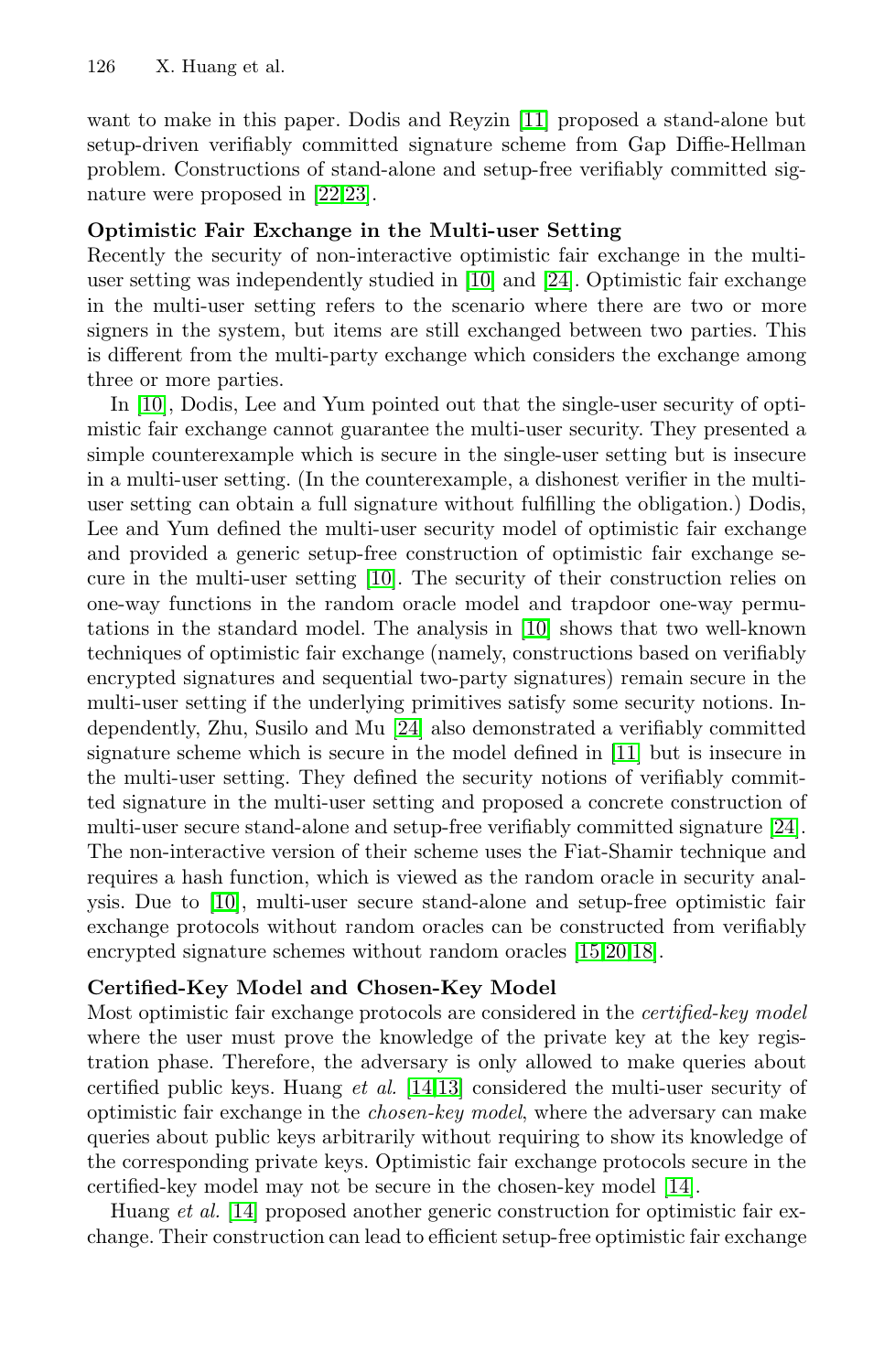want to make in this paper. Dodis and Reyzin [11] proposed a stand-alone but setup-driven verifiably committed signature scheme from Gap Diffie-Hellman problem. Constructions of stand-alone and setup-free verifiably committed signature were proposed in [22,23].

## **Optimistic Fair Exchange in the Multi-user Setting**

Recently the security of non-interactive optimistic fair exchange in the multiuser setting was independently studied in [10] and [24]. Optimistic fair exchange in the multi-user setting refers to the scenario where there are two or more signers in the system, but items are still exchanged between two parties. This is different from the multi-party exchange which considers the exchange among three or mo[re p](#page-16-1)arties.

In [10], Dodis, Lee and Yum pointed out that the single-user security of optimistic fair exchange cannot g[uar](#page-16-1)antee the multi-user security. They presented a simple counterexample which is secure in the single-user setting but is insecure in a multi-user setting. (In the counterexample, a dishonest verifier in the multiuser setting can obtain a full signature without fulfilling the obligation.) Dodis, Lee and Yum [defi](#page-17-4)ned the multi-user security model of optimistic fair exchange and provided a generic setup-free con[stru](#page-16-2)ction of optimistic fair exchange secure in the multi-user setting [10]. The security of their construction relies on one-way functions in the random oracle model and trapdoor one-way permutations in the standard model. The analysis in [10] sho[ws t](#page-17-4)hat two well-known techniques of optimistic fair exchange (namely, constructions based on verifiably encrypted signatures and sequential two-party signatures) remain secure in the multi-user setting if the underlying primitives satisfy some security notions. Independently, Zhu, Susilo and Mu [24] also demonstrated a verifiably committed signature scheme which is secure i[n th](#page-16-6)[e](#page-17-5) [mod](#page-17-2)el defined in [11] but is insecure in the multi-user setting. They defined the security notions of verifiably committed signature in the multi-user setting and proposed a concrete construction of multi-user secure stand-alone and setup-free verifiably committed signature [24]. The non-interactive version of their scheme uses the Fiat-Shamir technique and requires a hash function, which is viewed as the random oracle in security analysis. Due to [10[\],](#page-16-7) [mul](#page-16-5)ti-user secure stand-alone and setup-free optimistic fair exchange protocols without random oracles can be constructed from verifiably encrypted signature schemes without random oracles [15,20,18].

#### **Certified-Key Model and Chosen-Key [Mo](#page-16-7)del**

Most optimistic fair exchange protocols are considered in the *certified-key model* where the user must prove the knowledge of the private key at the key registration phase. Therefore, the adversary is only allowed to make queries about certified public keys. Huang *et al.* [14,13] considered the multi-user security of optimistic fair exchange in the *chosen-key model*, where the adversary can make queries about public keys arbitrarily without requiring to show its knowledge of the corresponding private keys. Optimistic fair exchange protocols secure in the certified-key model may not be secure in the chosen-key model [14].

Huang *et al.* [14] proposed another generic construction for optimistic fair exchange. Their construction can lead to efficient setup-free optimistic fair exchange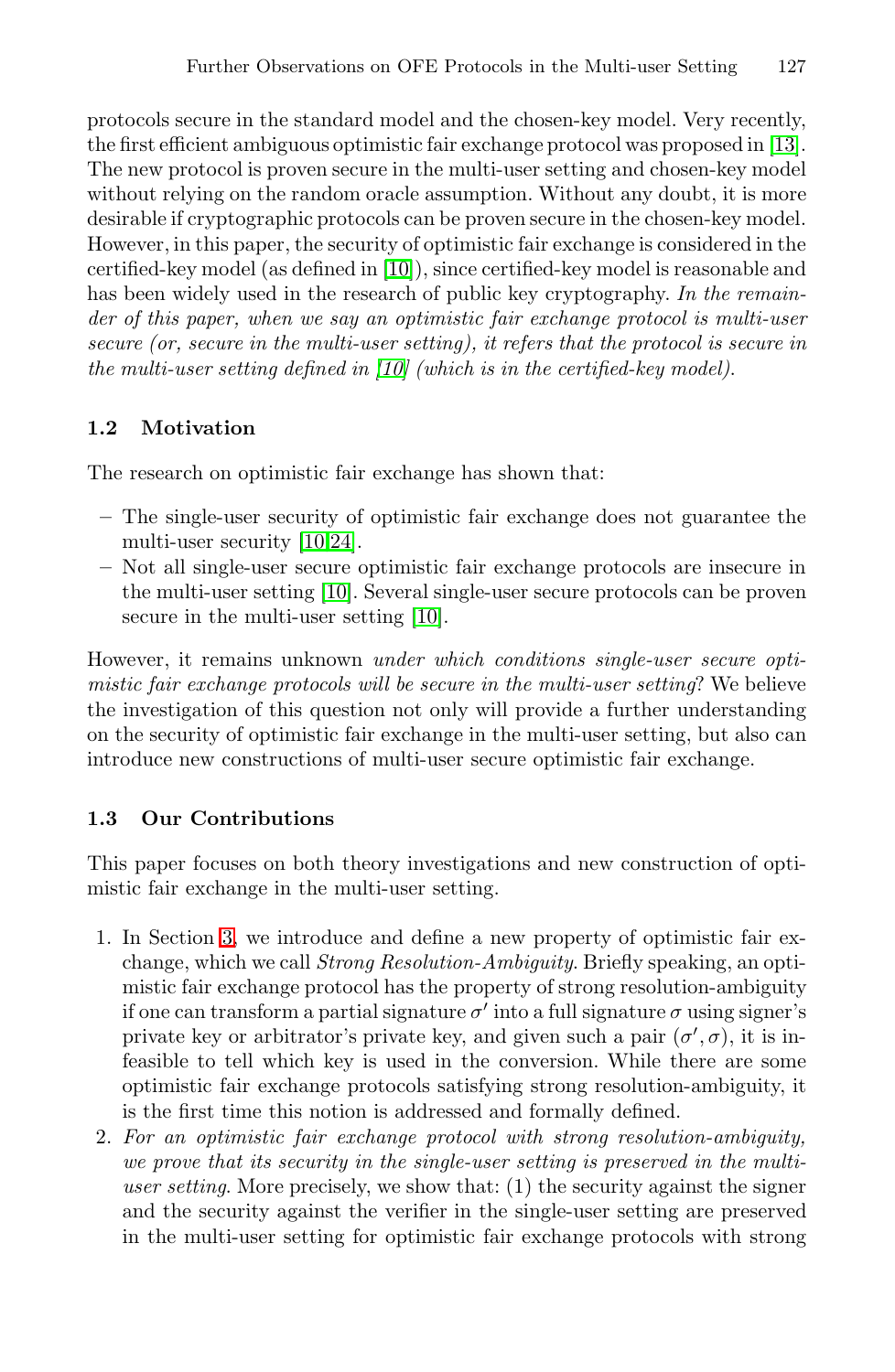protocols secure in the standard model and the chosen-key model. Very recently, the first efficient ambiguous optimistic fair exchange protocol was proposed in [13]. The new prot[oco](#page-16-1)l is proven secure in the multi-user setting and chosen-key model without relying on the random oracle assumption. Without any doubt, it is more desirable if cryptographic protocols can be proven secure in the chosen-key model. However, in this paper, the security of optimistic fair exchange is considered in the certified-key model (as defined in [10]), since certified-key model is reasonable and has been widely used in the research of public key cryptography. *In the remainder of this paper, when we say an optimistic fair exchange protocol is multi-user secu[re \(](#page-16-1)[or,](#page-17-4) secure in the multi-user setting), it refers that the protocol is secure in the multi-user setting defined in [10] (which is in the certified-key model)*.

#### **1.2 Motivati[on](#page-16-1)**

The research on optimistic fair exchange has shown that:

- **–** The single-user security of optimistic fair exchange does not guarantee the multi-user security [10,24].
- **–** Not all single-user secure optimistic fair exchange protocols are insecure in the multi-user setting [10]. Several single-user secure protocols can be proven secure in the multi-user setting [10].

However, it remains unknown *under which conditions single-user secure optimistic fair exchange protocols will be secure in the multi-user setting*? We believe the investigation of this question not only will provide a further understanding on the security of optimistic fair exchange in the multi-user setting, but also can introduce new constructions of multi-user secure optimistic fair exchange.

### **1.3 Our Contributions**

This paper focuses on both theory investigations and new construction of optimistic fair exchange in the multi-user setting.

- 1. In Section 3, we introduce and define a new property of optimistic fair exchange, which we call *Strong Resolution-Ambiguity*. Briefly speaking, an optimistic fair exchange protocol has the property of strong resolution-ambiguity if one can transform a partial signature  $\sigma'$  into a full signature  $\sigma$  using signer's private key or arbitrator's private key, and given such a pair  $(\sigma', \sigma)$ , it is in-<br>feasible to tell which key is used in the conversion. While there are some feasible to tell which key is used in the conversion. While there are some optimistic fair exchange protocols satisfying strong resolution-ambiguity, it is the first time this notion is addressed and formally defined.
- 2. *For an optimistic fair exchange protocol with strong resolution-ambiguity, we prove that its security in the single-user setting is preserved in the multiuser setting*. More precisely, we show that: (1) the security against the signer and the security against the verifier in the single-user setting are preserved in the multi-user setting for optimistic fair exchange protocols with strong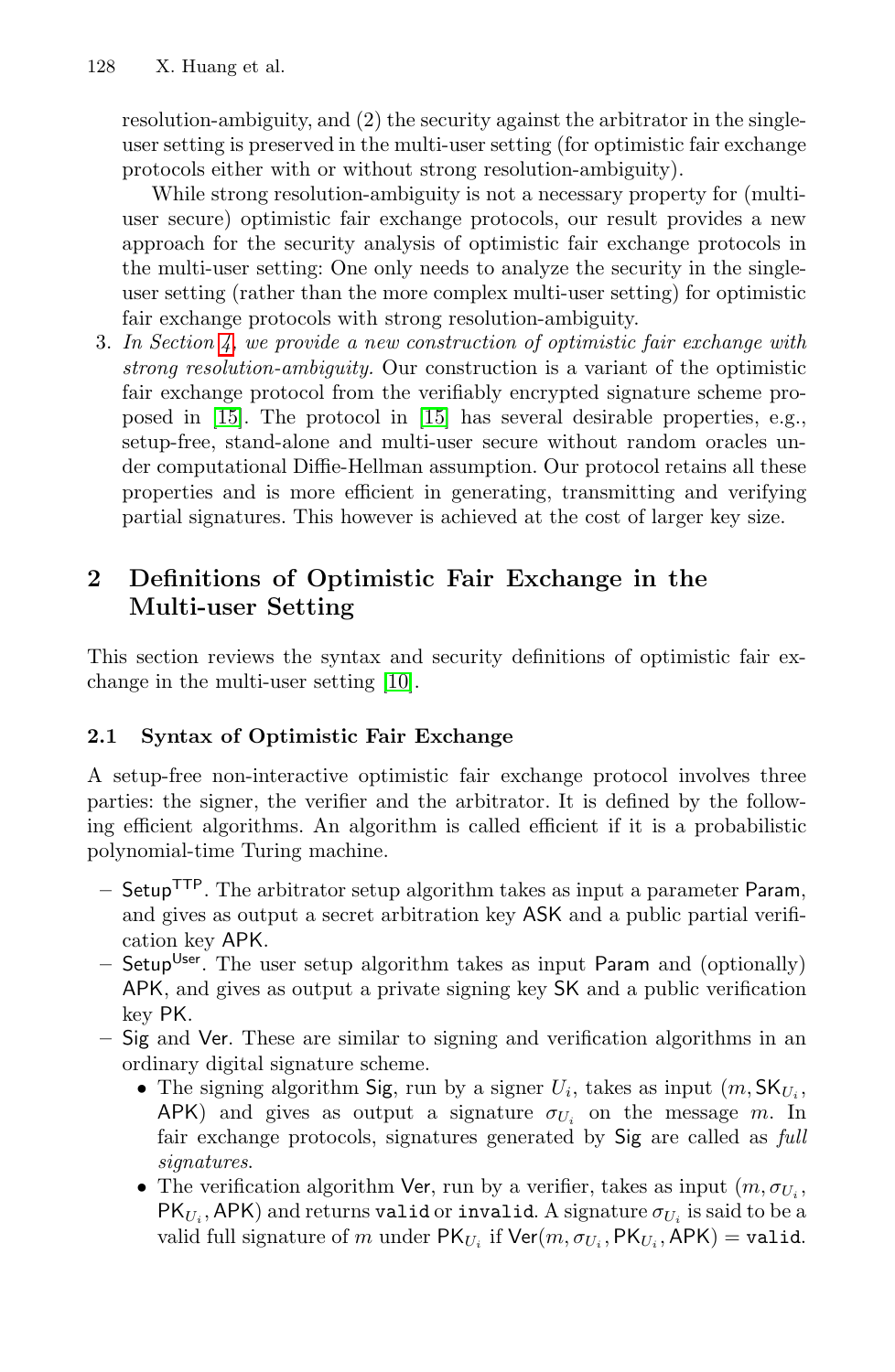resolution-ambiguity, and (2) the security against the arbitrator in the singleuser setting is preserved in the multi-user setting (for optimistic fair exchange protocols either with or without strong resolution-ambiguity).

While strong resolution-ambiguity is not a necessary property for (multiuser secure) [opti](#page-16-6)mistic fair exchange protocols, our result provides a new approach for the security analysis of optimistic fair exchange protocols in the multi-user setting: One only needs to analyze the security in the singleuser setting (rather than the more complex multi-user setting) for optimistic fair exchange protocols with strong resolution-ambiguity.

<span id="page-4-0"></span>3. *In Section 4, we provide a new construction of optimistic fair exchange with strong resolution-ambiguity.* Our construction is a variant of the optimistic fair exchange protocol from the verifiably encrypted signature scheme proposed in [15]. The protocol in [15] has several desirable properties, e.g., setup-free, stand-alone and multi-user secure without random oracles under computational Diffie-Hellman assumption. Our protocol retains all these properties [an](#page-16-1)d is more efficient in generating, transmitting and verifying partial signatures. This however is achieved at the cost of larger key size.

## **2 Definitions of Optimistic Fair Exchange in the Multi-user Setting**

This section reviews the syntax and security definitions of optimistic fair exchange in the multi-user setting [10].

### **2.1 Syntax of Optimistic Fair Exchange**

A setup-free non-interactive optimistic fair exchange protocol involves three parties: the signer, the verifier and the arbitrator. It is defined by the following efficient algorithms. An algorithm is called efficient if it is a probabilistic polynomial-time Turing machine.

- **–** SetupTTP. The arbitrator setup algorithm takes as input a parameter Param, and gives as output a secret arbitration key ASK and a public partial verification key APK.
- **–** SetupUser. The user setup algorithm takes as input Param and (optionally) APK, and gives as output a private signing key SK and a public verification key PK.
- **–** Sig and Ver. These are similar to signing and verification algorithms in an ordinary digital signature scheme.
	- The signing algorithm Sig, run by a signer  $U_i$ , takes as input  $(m, SK_{U_i})$ , APK) and gives as output a signature  $\sigma_{U_i}$  on the message m. In fair exchange protocols, signatures generated by Sig are called as *full signatures*.
	- The verification algorithm Ver, run by a verifier, takes as input  $(m, \sigma_{U_i})$ ,  $PK_{U_i}$ , APK) and returns valid or invalid. A signature  $\sigma_{U_i}$  is said to be a valid full signature of m under  $PK_{U_i}$  if  $Ver(m, \sigma_{U_i}, PK_{U_i}, APK) =$  valid.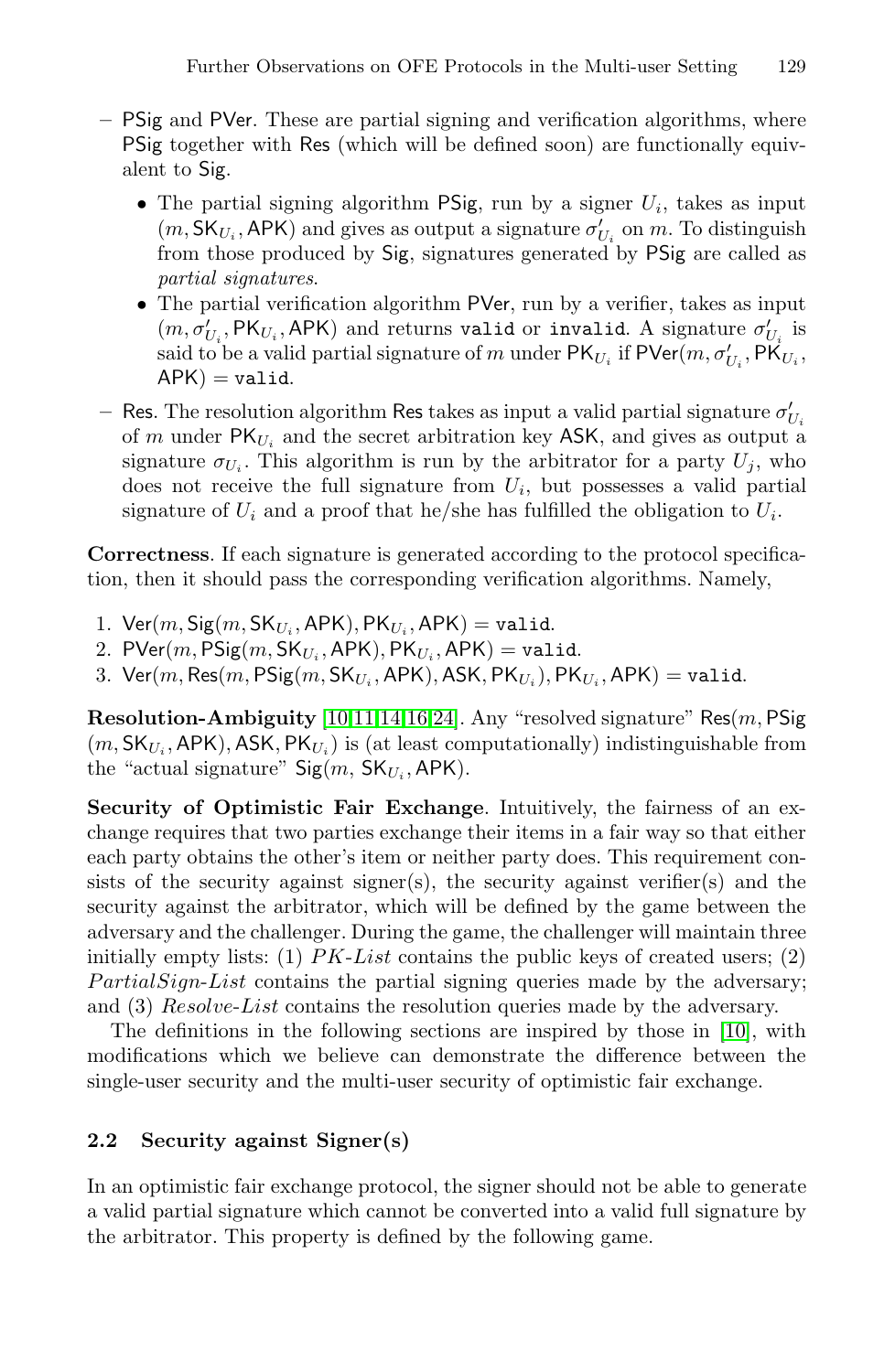- **–** PSig and PVer. These are partial signing and verification algorithms, where PSig together with Res (which will be defined soon) are functionally equivalent to Sig.
	- The partial signing algorithm  $PSig$ , run by a signer  $U_i$ , takes as input  $(m, \mathsf{SK}_{U_i}, \mathsf{APK})$  and gives as output a signature  $\sigma'_{U_i}$  on m. To distinguish<br>from those produced by Sig-signatures generated by PSig-are called as from those produced by Sig, signatures generated by PSig are called as *partial signatures*.
	- The partial verification algorithm PVer, run by a verifier, takes as input  $(m, \sigma'_{U_i}, \text{PK}_{U_i}, \text{APK})$  and returns valid or invalid. A signature  $\sigma'_{U_i}$  is<br>said to be a valid partial signature of m under  $\text{PK}_{U_i}$  if  $\text{PVer}(m, \sigma'_{U_i})$ said to be a valid partial signature of m under  $PK_{U_i}$  if  $PVer(m, \sigma'_{U_i}, PK_{U_i}, \text{PK})$  $APK$ ) = valid.
- **–** Res. The resolution algorithm Res takes as input a valid partial signature  $\sigma'_{U_i}$  of m under PK<sub>V</sub>, and the secret arbitration key ASK, and gives as output s of m under  $PK_{U_i}$  and the secret arbitration key ASK, and gives as output a signature  $\sigma_{U_i}$ . This algorithm is run by the arbitrator for a party  $U_j$ , who does not receive the full signature from  $U_i$ , but possesses a valid partial sig[nat](#page-16-1)[ure](#page-16-2) [of](#page-16-7)  $U_i$  $U_i$  [an](#page-17-4)d a proof that he/she has fulfilled the obligation to  $U_i$ .

**Correctness**. If each signature is generated according to the protocol specification, then it should pass the corresponding verification algorithms. Namely,

- 1. Ver $(m, \text{Sig}(m, \text{SK}_{U_i}, \text{APK}), \text{PK}_{U_i}, \text{APK}) = \text{valid.}$
- 2. PVer $(m, \text{PSig}(m, \text{SK}_{U_i}, \text{APK}), \text{PK}_{U_i}, \text{APK}) = \text{valid.}$
- 3. Ver $(m, \text{Res}(m, \text{PSig}(m, \text{SK}_U, \text{APK}), \text{ASK}, \text{PK}_U_i, \text{PR}_U, \text{APK}) = \text{valid.}$

**Resolution-Ambiguity** [10,11,14,16,24]. Any "resolved signature" Res(m, PSig  $(m, \text{SK}_{U_i}, \text{APK})$ , ASK,  $\text{PK}_{U_i}$ ) is (at least computationally) indistinguishable from the "actual signature"  $Sig(m, SK_{U_i}, APK)$ .

**Security of Optimistic Fair Exchange**. Intuitively, the fairness of an exchange requires that two parties exchange their ite[ms i](#page-16-1)n a fair way so that either each party obtains the other's item or neither party does. This requirement consists of the security against signer(s), the security against verifier(s) and the security against the arbitrator, which will be defined by the game between the adversary and the challenger. During the game, the challenger will maintain three initially empty lists: (1)  $PK-List$  contains the public keys of created users; (2)  $PartialSign-List$  contains the partial signing queries made by the adversary; and (3) Resolve-List contains the resolution queries made by the adversary.

The definitions in the following sections are inspired by those in [10], with modifications which we believe can demonstrate the difference between the single-user security and the multi-user security of optimistic fair exchange.

## **2.2 Security against Signer(s)**

In an optimistic fair exchange protocol, the signer should not be able to generate a valid partial signature which cannot be converted into a valid full signature by the arbitrator. This property is defined by the following game.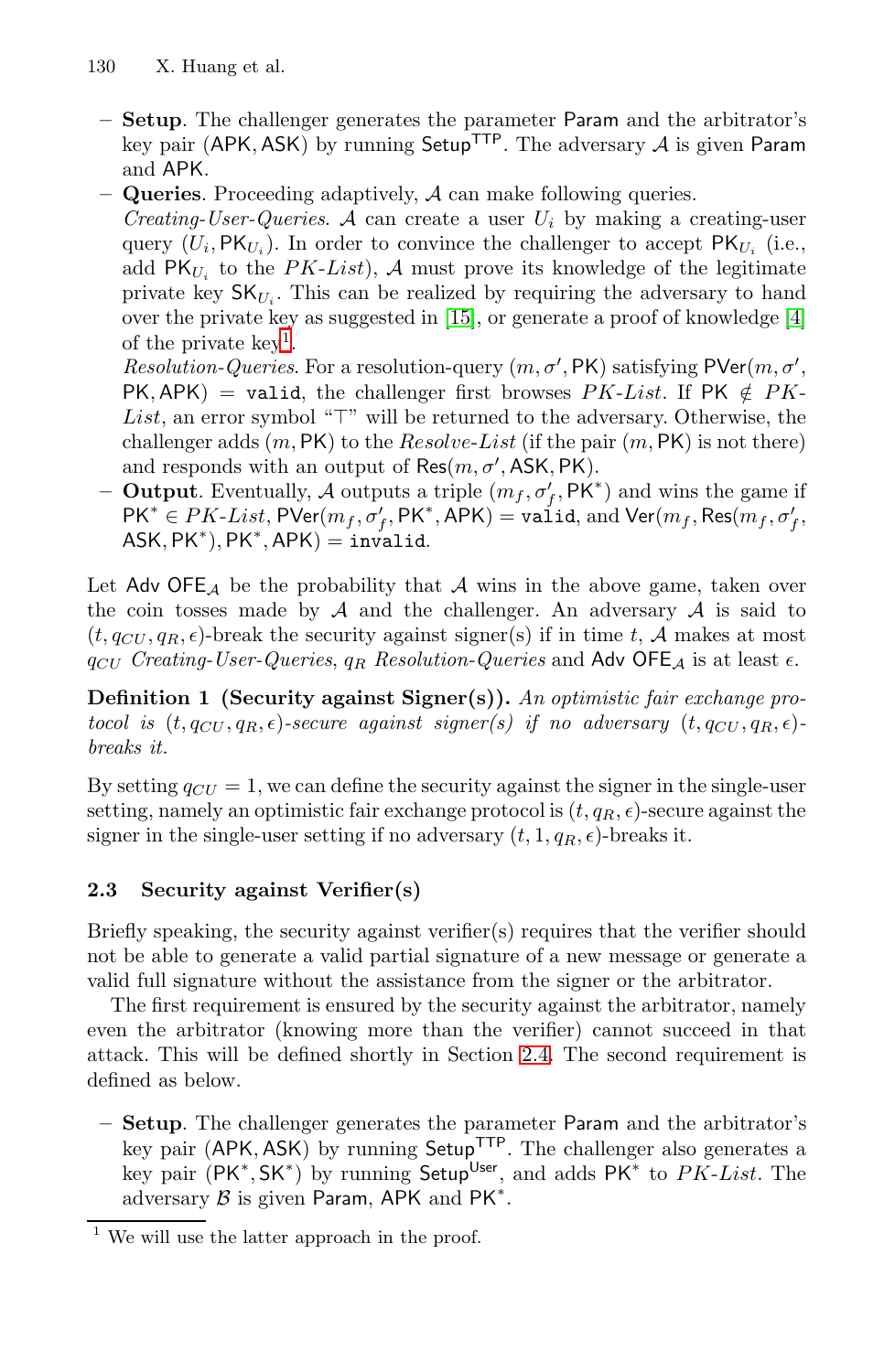- 130 X. Huang et al.
- **Setup**. The chal[len](#page-16-6)ger generates the parameter Param [a](#page-16-8)nd the arbitrator's key pair (APK, ASK) by running Setup<sup>TTP</sup>. The adversary  $A$  is given Param and APK.
- **Queries**. Proceeding adaptively, A can make following queries.
- *Creating-User-Queries*. A can create a user  $U_i$  by making a creating-user query  $(U_i, \mathsf{PK}_{U_i})$ . In order to convince the challenger to accept  $\mathsf{PK}_{U_i}$  (i.e., add  $PK_{U_i}$  to the  $PK-List$ , A must prove its knowledge of the legitimate private key  $\mathsf{SK}_{U_i}$ . This can be realized by requiring the adversary to hand over the private key as suggested in [15], or generate a proof of knowledge [4] of the private key<sup>1</sup>.

*Resolution-Queries.* For a resolution-query  $(m, \sigma', PK)$  satisfying PVer $(m, \sigma')$ <br>**PK APK**) – ralid, the challenger first browses *PK-List* If PK  $\notin PK$ PK, APK) = valid, the challenger first browses  $PK-List$ . If PK  $\notin PK$ List, an error symbol " $\top$ " will be returned to the adversary. Otherwise, the challenger adds  $(m, PK)$  to the *Resolve-List* (if the pair  $(m, PK)$ ) is not there) and responds with an output of Res( $m, \sigma'$ , ASK, PK).<br>Output, Eventually, 4 outputs a triple ( $m, \sigma'$ , PK<sup>\*</sup>

**– Output**. Eventually, A outputs a triple  $(m_f, \sigma'_f, PK^*)$  and wins the game if  $PK^* \subset PK$ -List  $P\vee \text{er}(m_f, \sigma'_f, PK^*)$  and  $\vee \text{er}(m_f, RF^*)$  $PK^* \in PK\text{-}List$ ,  $PVer(m_f, \sigma'_f, PK^*, ARK) = \text{valid}$ , and  $Ver(m_f, Res(m_f, \sigma'_f, AK^* \land PK) - \text{initial}$  $ASK, PK^*), PK^*, APK) = invalid.$ 

Let Adv OFE<sub>A</sub> be the probability that A wins in the above game, taken over the coin tosses made by  $A$  and the challenger. An adversary  $A$  is said to  $(t, q_{CU}, q_R, \epsilon)$ -break the security against signer(s) if in time t, A makes at most  $q_{CU}$  *Creating-User-Queries*,  $q_R$  *Resolution-Queries* and Adv OFE<sub>A</sub> is at least  $\epsilon$ .

<span id="page-6-0"></span>**Definition 1 (Security against Signer(s)).** *An optimistic fair exchange protocol is*  $(t, q_{CU}, q_R, \epsilon)$ *-secure against signer(s) if no adversary*  $(t, q_{CU}, q_R, \epsilon)$ *breaks it.*

By setting  $q_{CU} = 1$ , we can define the security against the signer in the single-user setting, namely an optimistic fair exchange protocol is  $(t, q<sub>R</sub>, \epsilon)$ -secure against the signer in the single-user setting if no adversary  $(t, 1, q_R, \epsilon)$ -breaks it.

#### **2.3 Security against Verifier(s)**

Briefly speaking, the security against verifier(s) requires that the verifier should not be able to generate a valid partial signature of a new message or generate a valid full signature without the assistance from the signer or the arbitrator.

The first requirement is ensured by the security against the arbitrator, namely even the arbitrator (knowing more than the verifier) cannot succeed in that attack. This will be defined shortly in Section 2.4. The second requirement is defined as below.

**– Setup**. The challenger generates the parameter Param and the arbitrator's key pair (APK, ASK) by running Setup<sup>TTP</sup>. The challenger also generates a<br>key pair (PK<sup>\*</sup> SK<sup>\*</sup>) by running Setup<sup>User</sup>, and adds PK<sup>\*</sup> to *PK-List*. The key pair (PK<sup>\*</sup>, SK<sup>\*</sup>) by running Setup<sup>User</sup>, and adds PK<sup>\*</sup> to *PK-List*. The adversary  $\beta$  is given Param APK and PK<sup>\*</sup> adversary  $\beta$  is given Param, APK and PK<sup>\*</sup>.

<sup>&</sup>lt;sup>1</sup> We will use the latter approach in the proof.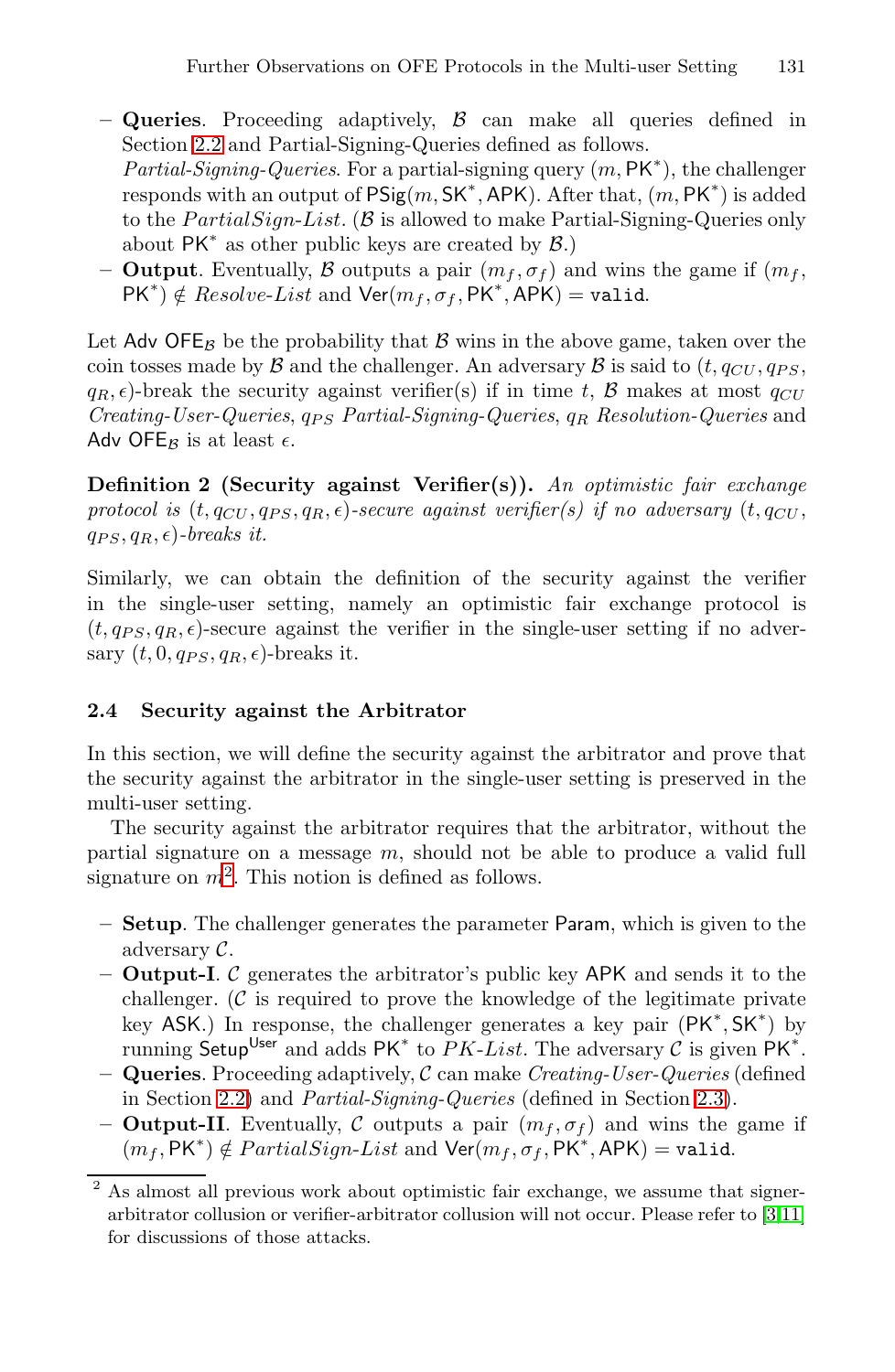- **Queries**. Proceeding adaptively, B can make all queries defined in Section 2.2 and Partial-Signing-Queries defined as follows. *Partial-Signing-Queries*. For a partial-signing query (*m*, **PK**<sup>\*</sup>), the challenger responds with an output of  $\mathsf{PSig}(m, \mathsf{SK}^*, \mathsf{APK})$ . After that,  $(m, \mathsf{PK}^*)$  is added<br>to the *Partial Sign-List* (*R* is allowed to make Partial-Signing-Queries only to the *PartialSign-List.* ( $\beta$  is allowed to make Partial-Signing-Queries only about  $PK^*$  as other public keys are created by  $\mathcal{B}$ .)
- **Output**. Eventually, B outputs a pair  $(m_f, \sigma_f)$  and wins the game if  $(m_f, \sigma_f)$  $PK^*) \notin Resolve-List$  and  $Ver(m_f, \sigma_f, PK^*, APK) = valid.$

Let Adv OFE<sub>B</sub> be the probability that  $\beta$  wins in the above game, taken over the coin tosses made by  $\beta$  and the challenger. An adversary  $\beta$  is said to  $(t, q_{CU}, q_{PS},$  $q_B, \epsilon$ )-break the security against verifier(s) if in time t, B makes at most  $q_{CU}$ *Creating-User-Queries*,  $q_{PS}$  *Partial-Signing-Queries*,  $q_B$  *Resolution-Queries* and Adv OFE<sub> $\kappa$ </sub> is at least  $\epsilon$ .

**Definition 2 (Security against Verifier(s)).** *An optimistic fair exchange protocol is*  $(t, q_{CU}, q_{PS}, q_R, \epsilon)$ -secure against verifier(s) if no adversary  $(t, q_{CU},$  $q_{PS}, q_R, \epsilon$ *)*-breaks it.

Similarly, we can obtain the definition of the security against the verifier in the single-user setting, namely an optimistic fair exchange protocol is  $(t, q_{PS}, q_R, \epsilon)$ -secure against the verifier in the single-user setting if no adversary  $(t, 0, q_{PS}, q_R, \epsilon)$ -breaks it.

#### **2.4 Security against the Arbitrator**

In this section, we will define the security against the arbitrator and prove that the security against the arbitrator in the single-user setting is preserved in the multi-user setting.

The security against the arbitrator requires that the arbitrator, without the partial signature on a message  $m$ , should not be able to produce a valid full signature on  $m^2$ . This notion is defined as follows.

- **Setup**. The challenger generates the param[eter](#page-6-0) Param, which is given to the adversary C.
- **Output-I**. C generates the arbitrator's public key APK and sends it to the challenger.  $(C$  is required to prove the knowledge of the legitimate private key ASK.) In response, the challenger generates a [k](#page-16-9)[ey](#page-16-2) pair (PK<sup>∗</sup>, SK∗) by running Setup<sup>User</sup> and adds PK<sup>\*</sup> to *PK-List*. The adversary  $\mathcal C$  is given PK<sup>\*</sup>.<br>Queries Proceeding adaptively  $\mathcal C$  can make Creating-Heer-Queries (defined
- **Queries**. Proceeding adaptively, C can make *Creating-User-Queries* (defined in Section 2.2) and *Partial-Signing-Queries* (defined in Section 2.3).
- **Output-II**. Eventually, C outputs a pair  $(m_f, \sigma_f)$  and wins the game if  $(m_f, \mathsf{PK}^*) \notin PartialSign-List$  and  $\mathsf{Ver}(m_f, \sigma_f, \mathsf{PK}^*, \mathsf{APK}) = \mathtt{valid}.$

<sup>&</sup>lt;sup>2</sup> As almost all previous work about optimistic fair exchange, we assume that signerarbitrator collusion or verifier-arbitrator collusion will not occur. Please refer to [3,11] for discussions of those attacks.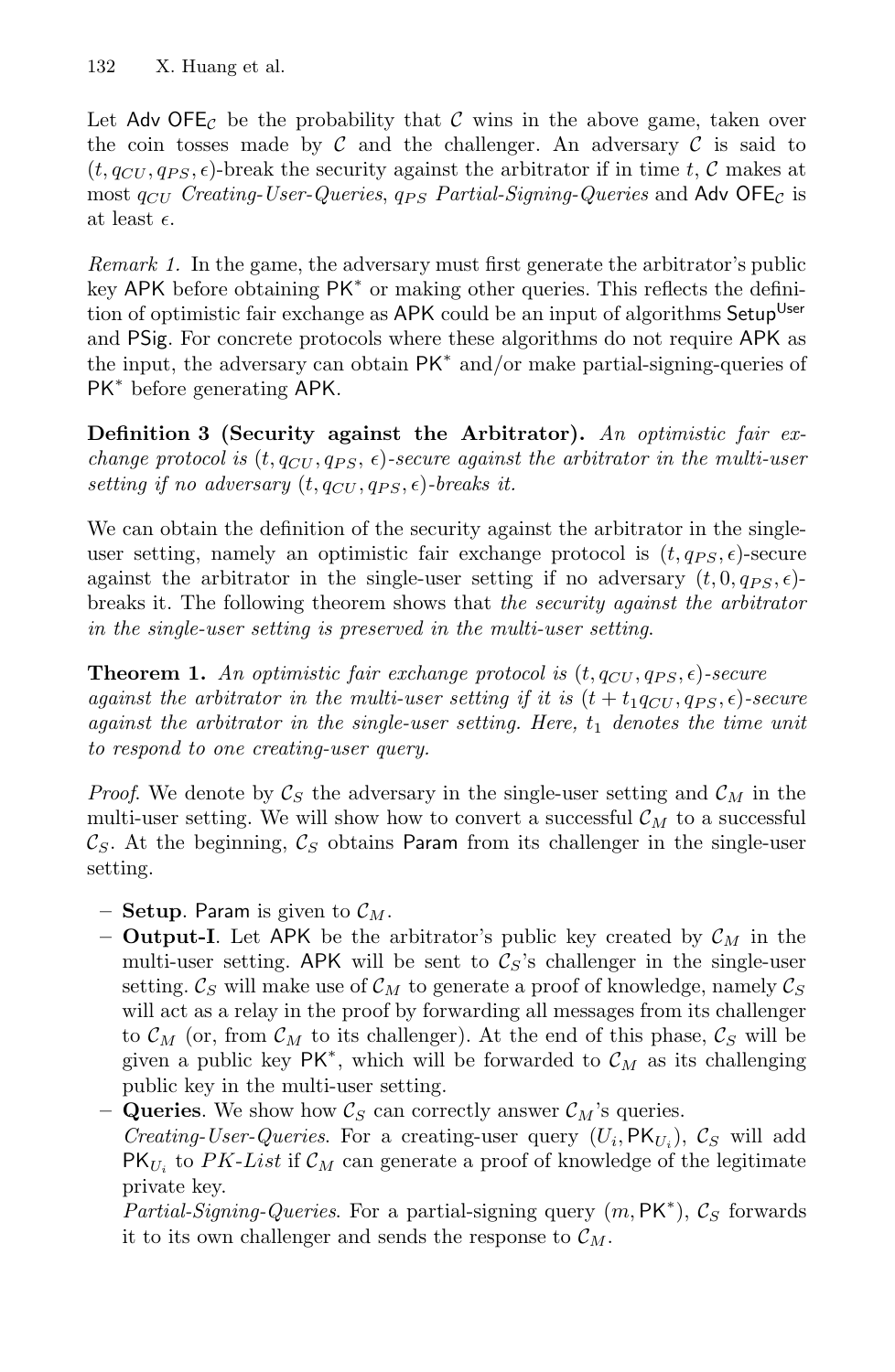Let Adv OFE<sub>C</sub> be the probability that C wins in the above game, taken over the coin tosses made by  $\mathcal C$  and the challenger. An adversary  $\mathcal C$  is said to  $(t, q_{CU}, q_{PS}, \epsilon)$ -break the security against the arbitrator if in time t, C makes at most  $q_{CU}$  *Creating-User-Queries*,  $q_{PS}$  *Partial-Signing-Queries* and Adv OFE<sub>C</sub> is at least  $\epsilon$ .

*Remark 1.* In the game, the adversary must first generate the arbitrator's public key APK before obtaining PK<sup>∗</sup> or making other queries. This reflects the definition of optimistic fair exchange as APK could be an input of algorithms Setup<sup>User</sup> and PSig. For concrete protocols where these algorithms do not require APK as the input, the adversary can obtain PK<sup>∗</sup> and/or make partial-signing-queries of PK<sup>∗</sup> before generating APK.

**Definition 3 (Security against the Arbitrator).** *An optimistic fair exchange protocol is*  $(t, q_{CU}, q_{PS}, \epsilon)$ -secure against the arbitrator in the multi-user *setting if no adversary*  $(t, q_{CU}, q_{PS}, \epsilon)$ *-breaks it.* 

We can obtain the definition of the security against the arbitrator in the singleuser setting, namely an optimistic fair exchange protocol is  $(t, q_{PS}, \epsilon)$ -secure against the arbitrator in the single-user setting if no adversary  $(t, 0, q_{PS}, \epsilon)$ breaks it. The following theorem shows that *the security against the arbitrator in the single-user setting is preserved in the multi-user setting*.

**Theorem 1.** An optimistic fair exchange protocol is  $(t, q_{CU}, q_{PS}, \epsilon)$ -secure *against the arbitrator in the multi-user setting if it is*  $(t + t_1 q_{CU}, q_{PS}, \epsilon)$ -secure *against the arbitrator in the single-user setting. Here,*  $t_1$  *denotes the time unit to respond to one creating-user query.*

*Proof.* We denote by  $\mathcal{C}_S$  the adversary in the single-user setting and  $\mathcal{C}_M$  in the multi-user setting. We will show how to convert a successful  $\mathcal{C}_M$  to a successful  $\mathcal{C}_S$ . At the beginning,  $\mathcal{C}_S$  obtains Param from its challenger in the single-user setting.

- $-$  **Setup**. Param is given to  $\mathcal{C}_M$ .
- **Output-I**. Let APK be the arbitrator's public key created by  $\mathcal{C}_M$  in the multi-user setting. APK will be sent to  $\mathcal{C}_S$ 's challenger in the single-user setting.  $\mathcal{C}_S$  will make use of  $\mathcal{C}_M$  to generate a proof of knowledge, namely  $\mathcal{C}_S$ will act as a relay in the proof by forwarding all messages from its challenger to  $\mathcal{C}_M$  (or, from  $\mathcal{C}_M$  to its challenger). At the end of this phase,  $\mathcal{C}_S$  will be given a public key  $\mathsf{PK}^*$ , which will be forwarded to  $\mathcal{C}_M$  as its challenging public key in the multi-user setting.
- **Queries**. We show how  $\mathcal{C}_S$  can correctly answer  $\mathcal{C}_M$ 's queries. *Creating-User-Queries*. For a creating-user query  $(U_i, \mathsf{PK}_{U_i})$ ,  $\mathcal{C}_S$  will add  $PK_{U_i}$  to PK-List if  $C_M$  can generate a proof of knowledge of the legitimate private key.

*Partial-Signing-Queries*. For a partial-signing query  $(m, PK^*)$ ,  $C_S$  forwards it to its own challenger and sends the response to  $\mathcal{C}_M$ .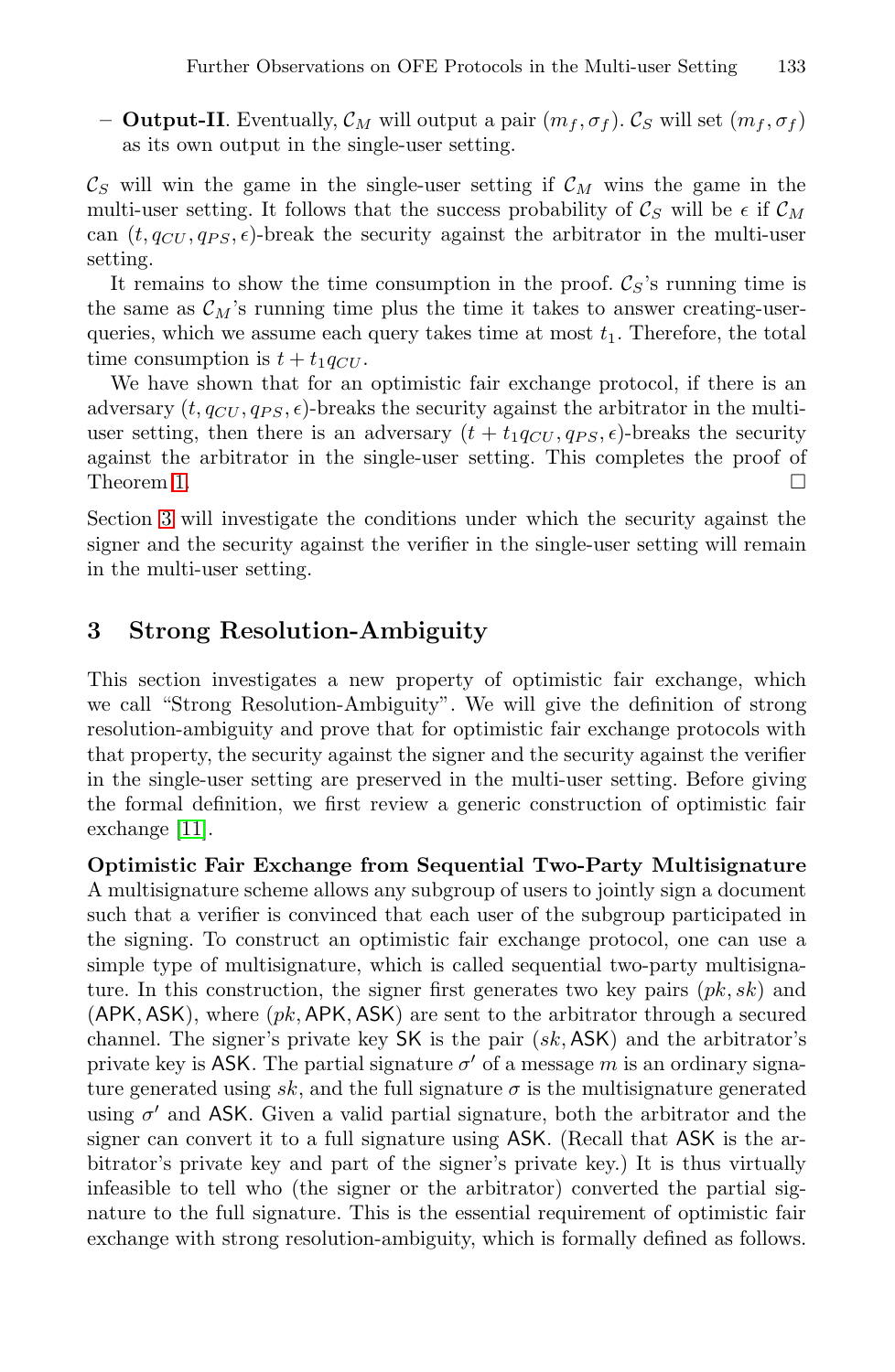**– Output-II**. Eventually,  $\mathcal{C}_M$  will output a pair  $(m_f, \sigma_f)$ .  $\mathcal{C}_S$  will set  $(m_f, \sigma_f)$ as its own output in the single-user setting.

 $\mathcal{C}_S$  will win the game in the single-user setting if  $\mathcal{C}_M$  wins the game in the multi-user setting. It follows that the success probability of  $\mathcal{C}_S$  will be  $\epsilon$  if  $\mathcal{C}_M$ can  $(t, q_{CH}, q_{PS}, \epsilon)$ -break the security against the arbitrator in the multi-user setting.

It remains to show the time consumption in the proof.  $\mathcal{C}_S$ 's running time is the same as  $\mathcal{C}_M$ 's running time plus the time it takes to answer creating-userqueries, which we assume each query takes time at most  $t_1$ . Therefore, the total time consumption is  $t + t_1 q_{CU}$ .

We have shown that for an optimistic fair exchange protocol, if there is an adversary  $(t, q_{CU}, q_{PS}, \epsilon)$ -breaks the security against the arbitrator in the multiuser setting, then there is an adversary  $(t + t_1 q_{CU}, q_{PS}, \epsilon)$ -breaks the security against the arbitrator in the single-user setting. This completes the proof of Theorem 1.  $\Box$ 

Section 3 will investigate the conditions under which the security against the signer and the security against the verifier in the single-user setting will remain in the multi-user setting.

## **3 Strong Resolution-Ambiguity**

This section investigates a new property of optimistic fair exchange, which we call "Strong Resolution-Ambiguity". We will give the definition of strong resolution-ambiguity and prove that for optimistic fair exchange protocols with that property, the security against the signer and the security against the verifier in the single-user setting are preserved in the multi-user setting. Before giving the formal definition, we first review a generic construction of optimistic fair exchange [11].

**Optimistic Fair Exchange from Sequential Two-Party Multisignature** A multisignature scheme allows any subgroup of users to jointly sign a document such that a verifier is convinced that each user of the subgroup participated in the signing. To construct an optimistic fair exchange protocol, one can use a simple type of multisignature, which is called sequential two-party multisignature. In this construction, the signer first generates two key pairs  $(pk, sk)$  and  $(APK, ASK)$ , where  $(pk, APK, ASK)$  are sent to the arbitrator through a secured channel. The signer's private key  $SK$  is the pair  $(sk, ASK)$  and the arbitrator's private key is ASK. The partial signature  $\sigma'$  of a message m is an ordinary signature generated using sk, and the full signature  $\sigma$  is the multisignature generated using  $\sigma'$  and ASK. Given a valid partial signature, both the arbitrator and the signer can convert it to a full signature using ASK. (Recall that ASK is the arbitrator's private key and part of the signer's private key.) It is thus virtually infeasible to tell who (the signer or the arbitrator) converted the partial signature to the full signature. This is the essential requirement of optimistic fair exchange with strong resolution-ambiguity, which is formally defined as follows.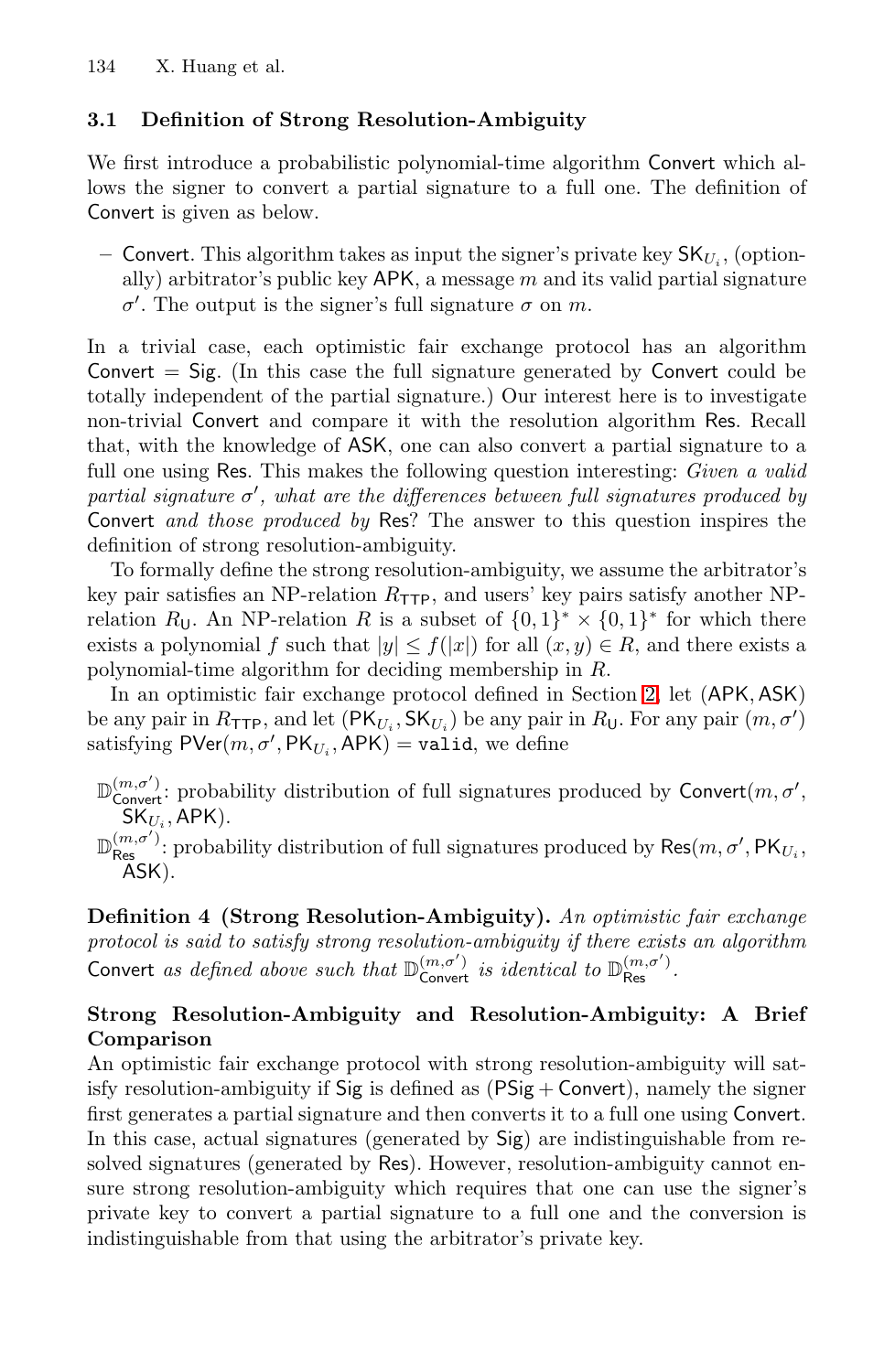#### **3.1 Definition of Strong Resolution-Ambiguity**

We first introduce a probabilistic polynomial-time algorithm Convert which allows the signer to convert a partial signature to a full one. The definition of Convert is given as below.

 $-$  Convert. This algorithm takes as input the signer's private key  $SK_{U_i}$ , (optionally) arbitrator's public key  $APK$ , a message m and its valid partial signature  $\sigma'$ . The output is the signer's full signature  $\sigma$  on m.

In a trivial case, each optimistic fair exchange protocol has an algorithm Convert  $=$  Sig. (In this case the full signature generated by Convert could be totally independent of the partial signature.) Our interest here is to investigate non-trivial Convert and compare it with the resolution algorithm Res. Recall that, with the knowledge of ASK, one can also convert a partial signature to a full one using Res. This makes the following question interesting: *Given a valid partial signature* σ', what are the differenc[es](#page-4-0) between full signatures produced by<br>Convert and those produced by Bes? The answer to this question inspires the Convert *and those produced by* Res? The answer to this question inspires the definition of strong resolution-ambiguity.

To formally define the strong resolution-ambiguity, we assume the arbitrator's key pair satisfies an NP-relation  $R_{\text{TTP}}$ , and users' key pairs satisfy another NPrelation R<sub>U</sub>. An NP-relation R is a subset of  $\{0,1\}^* \times \{0,1\}^*$  for which there exists a polynomial f such that  $|y| \le f(|x|)$  for all  $(x, y) \in R$ , and there exists a polynomial-time algorithm for deciding membership in R.

<span id="page-10-0"></span>In an optimistic fair exchange protocol defined in Section 2, let (APK, ASK) be any pair in  $R_{\text{TTP}}$ , and let  $(\mathsf{PK}_{U_i}, \mathsf{SK}_{U_i})$  be any pair in  $R_{\text{U}}$ . For any pair  $(m, \sigma')$ <br>satisfying  $\mathsf{PVar}(m, \sigma')$   $\mathsf{PK}_{U_i}$   $\mathsf{APK}$ ) – valid, we define satisfying  $PVer(m, \sigma', PK_{U_i}, APK) = \text{valid},$  we define

 $\mathbb{D}^{(m,\sigma')}_{\text{Convert}}$ : probability distribution of full signatures produced by Convert $(m, \sigma', \mathbf{S}_{\mathbf{K},\mathbf{r}})$  $SK_{U_i}$ , APK).

 $\mathbb{D}^{(m,\sigma')}_{\mathsf{Res}}$ : probability distribution of full signatures produced by  $\mathsf{Res}(m,\sigma',\mathsf{PK}_{U_i},\mathsf{SK})$ ASK).

**Definition 4 (Strong Resolution-Ambiguity).** *An optimistic fair exchange protocol is said to satisfy strong resolution-ambiguity if there exists an algorithm* Convert *as defined above such that*  $\mathbb{D}_{\text{Convert}}^{(m,\sigma')}$  *is identical to*  $\mathbb{D}_{\text{Res}}^{(m,\sigma')}$ .

## **Strong Resolution-Ambiguity and Resolution-Ambiguity: A Brief Comparison**

An optimistic fair exchange protocol with strong resolution-ambiguity will satisfy resolution-ambiguity if  $Sig$  is defined as  $(PSig + Convert)$ , namely the signer first generates a partial signature and then converts it to a full one using Convert. In this case, actual signatures (generated by Sig) are indistinguishable from resolved signatures (generated by Res). However, resolution-ambiguity cannot ensure strong resolution-ambiguity which requires that one can use the signer's private key to convert a partial signature to a full one and the conversion is indistinguishable from that using the arbitrator's private key.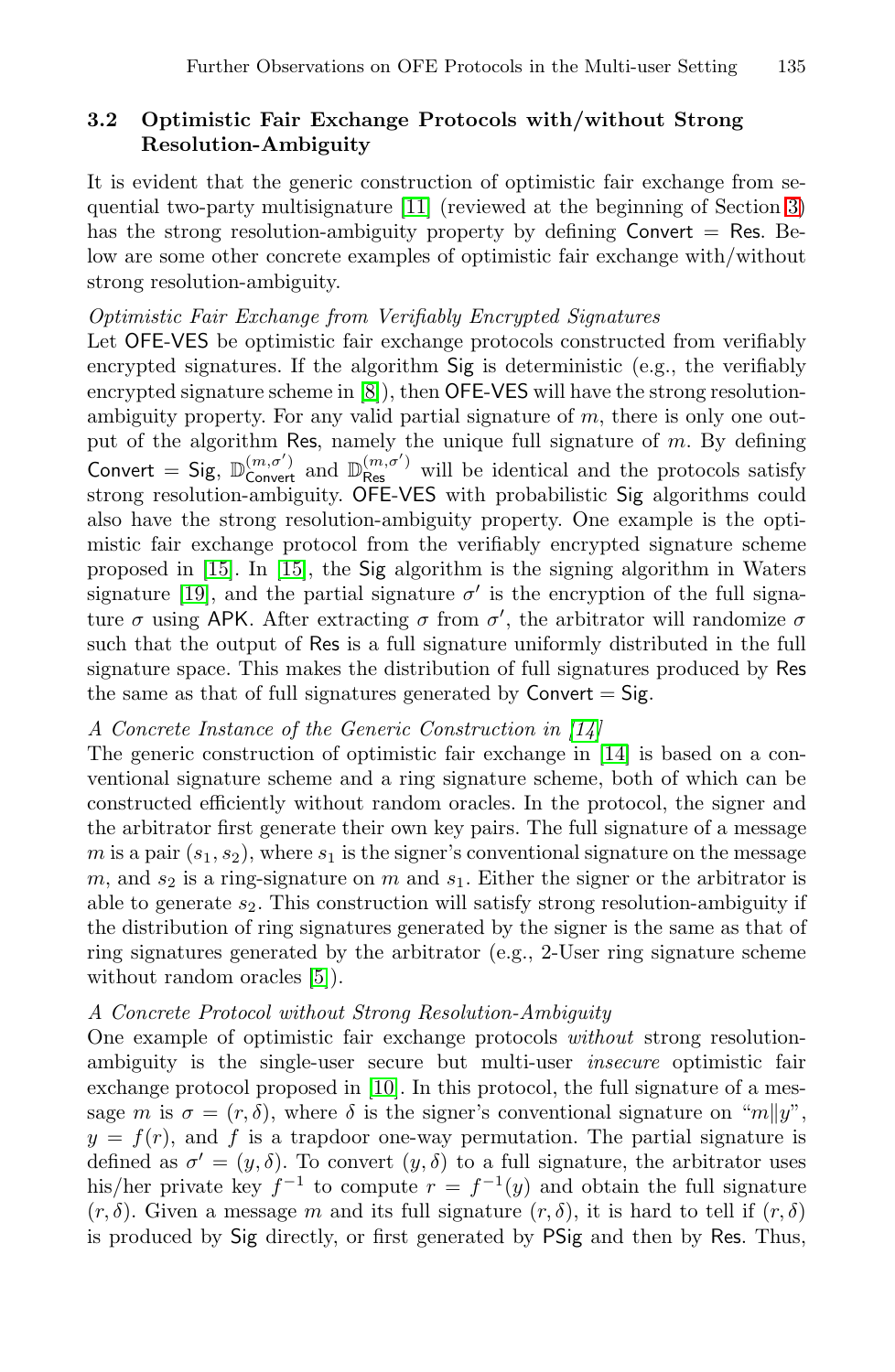### **3.2 Optimistic Fair Exchange Protocols with/without Strong Resolution-Ambiguity**

It is evident that the generic construction of optimistic fair exchange from sequential tw[o-p](#page-16-10)arty multisignature [11] (reviewed at the beginning of Section 3) has the strong resolution-ambiguity property by defining  $Convert = Res. Be$ low are some other concrete examples of optimistic fair exchange with/without strong resolution-ambiguity.

#### *Optimistic Fair Exchange from Verifiably Encrypted Signatures*

Let OFE-VES be optimistic fair exchange protocols constructed from verifiably e[ncry](#page-16-6)pted signatures. If the algorithm Sig is deterministic (e.g., the verifiably encrypted signature scheme in [8]), then OFE-VES will have the strong resolutionambiguity property. For any valid partial signature of m, there is only one out-<br>put of the algorithm Res. namely the unique full signature of m. By defining put of the algorithm Res, namely the unique full signature of m. By defining<br>Convert = Sig,  $\mathbb{D}_{\text{Convert}}^{(m,\sigma')}$  and  $\mathbb{D}_{\text{Res}}^{(m,\sigma')}$  will be identical and the protocols satisfy<br>strong resolution-ambiguity. OFE-VES with also have the strong resolution-ambiguity property. One example is the optimistic fair exchange protocol fro[m t](#page-16-7)he verifiably encrypted signature scheme proposed in [15]. In [15], the Sig algo[rith](#page-16-7)m is the signing algorithm in Waters signature [19], and the partial signature  $\sigma'$  is the encryption of the full signature  $\sigma$  using APK. After extracting  $\sigma$  from  $\sigma'$ , the arbitrator will randomize  $\sigma$ <br>such that the output of Res is a full signature uniformly distributed in the full such that the output of Res is a full signature uniformly distributed in the full signature space. This makes the distribution of full signatures produced by Res the same as that of full signatures generated by  $Convert = Sig$ .

### *A Concrete Instance of the Generic Construction in [14]*

The generic construction of optimistic fair exchange in [14] is based on a conventi[ona](#page-16-11)l signature scheme and a ring signature scheme, both of which can be constructed efficiently without random oracles. In the protocol, the signer and the arbitrator first generate their own key pairs. The full signature of a message m is a pair  $(s_1, s_2)$ , where  $s_1$  is the signer's conventional signature on the message m, and  $s_2$  is a ring-signature on m and  $s_1$ . Either the signer or the arbitrator is able to gene[rate](#page-16-1)  $s_2$ . This construction will satisfy strong resolution-ambiguity if the distribution of ring signatures generated by the signer is the same as that of ring signatures generated by the arbitrator (e.g., 2-User ring signature scheme without random oracles [5]).

## *A Concrete Protocol without Strong Resolution-Ambiguity*

One example of optimistic fair exchange protocols *without* strong resolutionambiguity is the single-user secure but multi-user *insecure* optimistic fair exchange protocol proposed in [10]. In this protocol, the full signature of a message m is  $\sigma = (r, \delta)$ , where  $\delta$  is the signer's conventional signature on "m||y",  $y = f(r)$ , and f is a trapdoor one-way permutation. The partial signature is defined as  $\sigma' = (y, \delta)$ . To convert  $(y, \delta)$  to a full signature, the arbitrator uses his/her private key  $f^{-1}$  to compute  $r = f^{-1}(y)$  and obtain the full signature  $(r, \delta)$ . Given a message m and its full signature  $(r, \delta)$ , it is hard to tell if  $(r, \delta)$ is produced by Sig directly, or first generated by PSig and then by Res. Thus,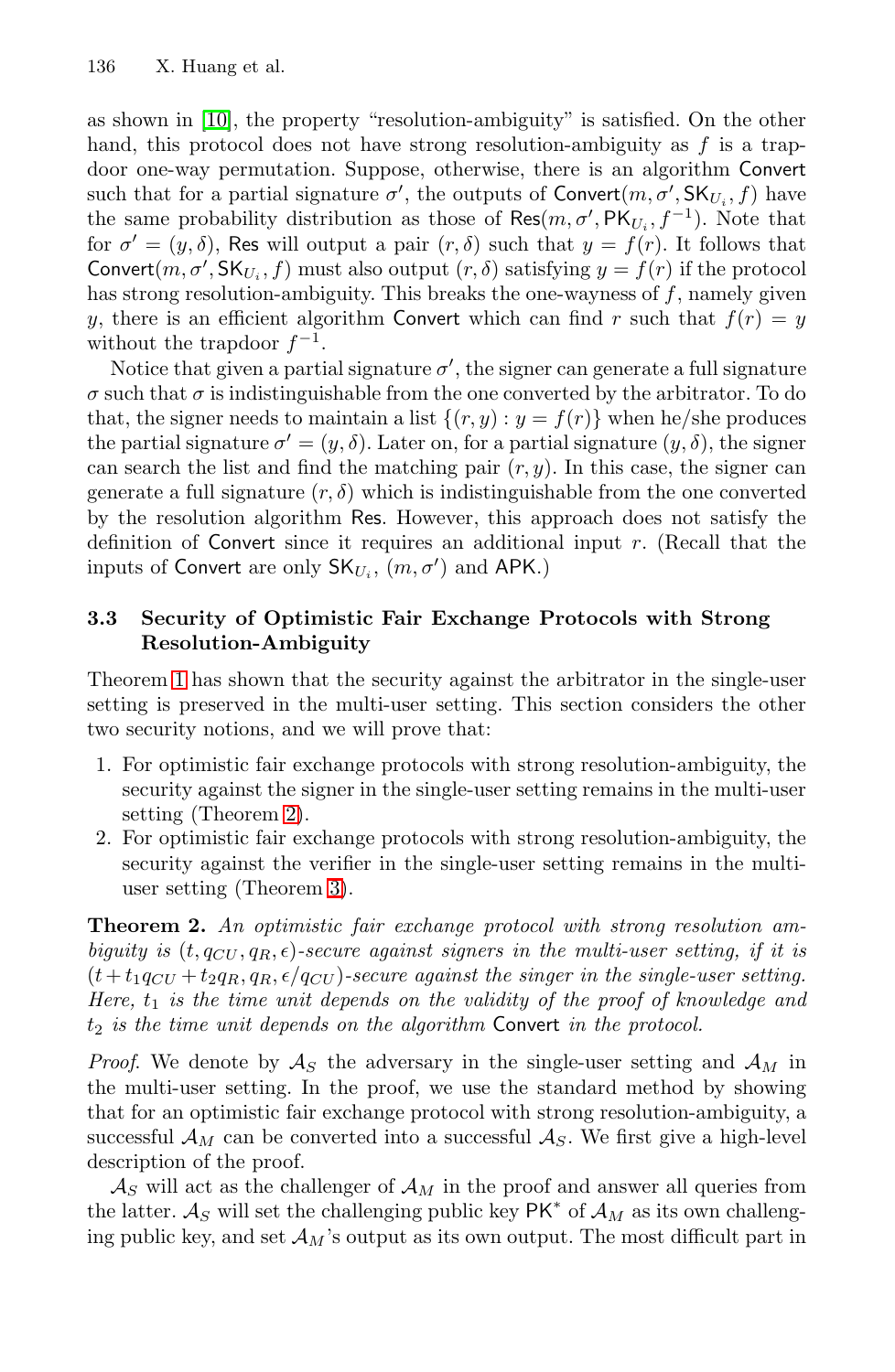as shown in [10], the property "resolution-ambiguity" is satisfied. On the other hand, this protocol does not have strong resolution-ambiguity as  $f$  is a trapdoor one-way permutation. Suppose, otherwise, there is an algorithm Convert such that for a partial signature  $\sigma'$ , the outputs of Convert $(m, \sigma', SK_{U_i}, f)$  have<br>the same probability distribution as those of Res( $m, \sigma'$ , PK<sub>L</sub>,  $f^{-1}$ ). Note that the same probability distribution as those of  $\text{Res}(m, \sigma', \text{PK}_{U_i}, f^{-1})$ . Note that<br>for  $\sigma' = (u, \delta)$ . Bes will output a pair  $(x, \delta)$  such that  $u = f(x)$ . It follows that for  $\sigma' = (y, \delta)$ , Res will output a pair  $(r, \delta)$  such that  $y = f(r)$ . It follows that Convert $(m, \sigma', \mathsf{SK}_{U_i}, f)$  must also output  $(r, \delta)$  satisfying  $y = f(r)$  if the protocol<br>has strong resolution-ambiguity. This breaks the one-wayness of f, namely given has strong resolution-ambiguity. This breaks the one-wayness of  $f$ , namely given y, there is an efficient algorithm Convert which can find r such that  $f(r) = y$ without the trapdoor  $f^{-1}$ .

Notice that given a partial signature  $\sigma'$ , the signer can generate a full signature<br>such that  $\sigma$  is indistinguishable from the one converted by the arbitrator. To do  $\sigma$  such that  $\sigma$  is indistinguishable from the one converted by the arbitrator. To do that, the signer needs to maintain a list  $\{(r, y) : y = f(r)\}\$  when he/she produces the partial signature  $\sigma' = (y, \delta)$ . Later on, for a partial signature  $(y, \delta)$ , the signer can search the list and find the matching pair  $(r, y)$ . In this case, the signer can generate a full signature  $(r, \delta)$  which is indistinguishable from the one converted by the resolution algorithm Res. However, this approach does not satisfy the definition of Convert since it requires an additional input r. (Recall that the inputs of Convert are only  $\mathsf{SK}_{U_i}, (m, \sigma')$  and APK.)

### **3.[3](#page-12-0) Security of Optimistic Fair Exchange Protocols with Strong Resolution-Ambiguity**

<span id="page-12-0"></span>Theorem 1 has shown that the security against the arbitrator in the single-user setting [is](#page-13-0) preserved in the multi-user setting. This section considers the other two security notions, and we will prove that:

- 1. For optimistic fair exchange protocols with strong resolution-ambiguity, the security against the signer in the single-user setting remains in the multi-user setting (Theorem 2).
- 2. For optimistic fair exchange protocols with strong resolution-ambiguity, the security against the verifier in the single-user setting remains in the multiuser setting (Theorem 3).

**Theorem 2.** *An optimistic fair exchange protocol with strong resolution ambiguity is*  $(t, q_{CU}, q_R, \epsilon)$ *-secure against signers in the multi-user setting, if it is*  $(t + t_1q_{CU} + t_2q_R, q_R, \epsilon/q_{CU})$ -secure against the singer in the single-user setting. Here,  $t_1$  *is the time unit depends on the validity of the proof of knowledge and* <sup>t</sup><sup>2</sup> *is the time unit depends on the algorithm* Convert *in the protocol.*

*Proof.* We denote by  $\mathcal{A}_S$  the adversary in the single-user setting and  $\mathcal{A}_M$  in the multi-user setting. In the proof, we use the standard method by showing that for an optimistic fair exchange protocol with strong resolution-ambiguity, a successful  $\mathcal{A}_M$  can be converted into a successful  $\mathcal{A}_S$ . We first give a high-level description of the proof.

 $\mathcal{A}_S$  will act as the challenger of  $\mathcal{A}_M$  in the proof and answer all queries from the latter.  $A_S$  will set the challenging public key PK<sup>\*</sup> of  $A_M$  as its own challenging public key, and set  $\mathcal{A}_M$ 's output as its own output. The most difficult part in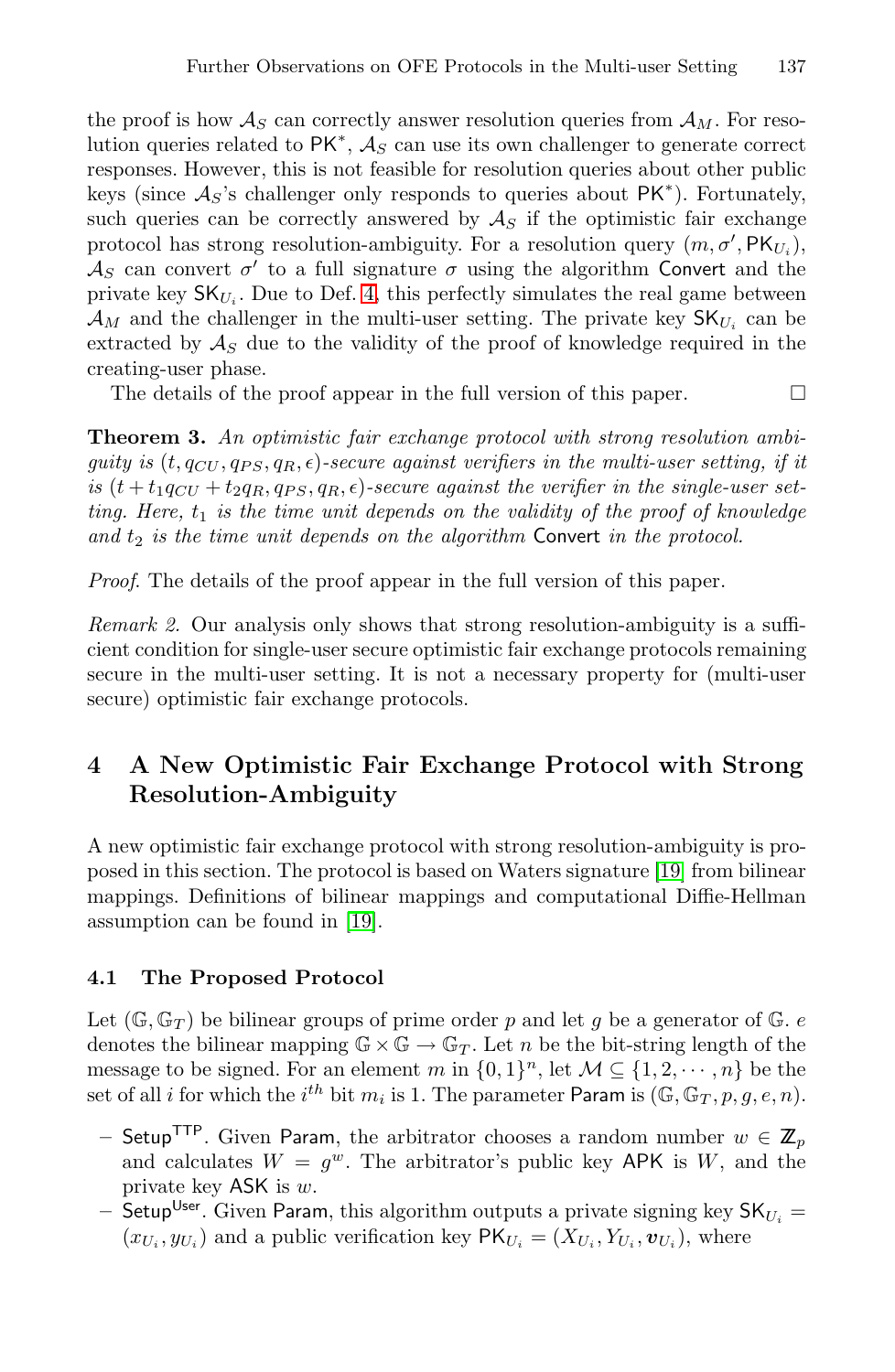<span id="page-13-0"></span>t[h](#page-10-0)e proof is how  $A<sub>S</sub>$  can correctly answer resolution queries from  $A<sub>M</sub>$ . For resolution queries related to  $\mathsf{PK}^*$ ,  $\mathcal{A}_S$  can use its own challenger to generate correct responses. However, this is not feasible for resolution queries about other public keys (since  $\mathcal{A}_S$ 's challenger only responds to queries about PK<sup>\*</sup>). Fortunately, such queries can be correctly answered by  $A<sub>S</sub>$  if the optimistic fair exchange protocol has strong resolution-ambiguity. For a resolution query  $(m, \sigma', PK_{U_i})$ ,<br> $A_{\sigma}$  can convert  $\sigma'$  to a full signature  $\sigma$  using the algorithm Convert and the  $\mathcal{A}_S$  can convert  $\sigma'$  to a full signature  $\sigma$  using the algorithm Convert and the private key  $\mathsf{SK}_{U_i}$ . Due to Def. 4, this perfectly simulates the real game between  $\mathcal{A}_M$  and the challenger in the multi-user setting. The private key  $\mathsf{SK}_{U_i}$  can be extracted by  $A<sub>S</sub>$  due to the validity of the proof of knowledge required in the creating-user phase.

The details of the proof appear in the full version of this paper.  $\Box$ 

**Theorem 3.** *An optimistic fair exchange protocol with strong resolution ambiguity is*  $(t, q_{ClI}, q_{PS}, q_B, \epsilon)$ -secure against verifiers in the multi-user setting, if it *is*  $(t + t_1q_{CU} + t_2q_R, q_{PS}, q_R, \epsilon)$ -secure against the verifier in the single-user set*ting. Here,*  $t_1$  *is the time unit depends on the validity of the proof of knowledge* and  $t_2$  *is the time unit depends on the algorithm* Convert *in the protocol.* 

*Proof.* The details of the proof appear in the full version of this paper.

*Remark 2.* Our analysis only shows that strong resolution-ambiguity is a sufficient condition for single-user secure optimistic fair exchange protocols remaining secure in the multi-user setting. It is not a [ne](#page-17-6)cessary property for (multi-user secure) optimistic fair exchange protocols.

## **4 A New Optimistic Fair Exchange Protocol with Strong Resolution-Ambiguity**

A new optimistic fair exchange protocol with strong resolution-ambiguity is proposed in this section. The protocol is based on Waters signature [19] from bilinear mappings. Definitions of bilinear mappings and computational Diffie-Hellman assumption can be found in [19].

### **4.1 The Proposed Protocol**

Let  $(\mathbb{G}, \mathbb{G}_T)$  be bilinear groups of prime order p and let q be a generator of  $\mathbb{G}$ . denotes the bilinear mapping  $\mathbb{G} \times \mathbb{G} \to \mathbb{G}_T$ . Let n be the bit-string length of the message to be signed. For an element m in  $\{0,1\}^n$ , let  $\mathcal{M} \subseteq \{1, 2, \dots, n\}$  be the set of all *i* for which the *i*<sup>th</sup> bit  $m_i$  is 1. The parameter Param is  $(\mathbb{G}, \mathbb{G}_T, p, g, e, n)$ .

- **–** Setup<sup>TTP</sup>. Given Param, the arbitrator chooses a random number  $w \in \mathbb{Z}_p$ and calculates  $W = q^w$ . The arbitrator's public key APK is W, and the private key ASK is w.
- **–** Setup<sup>User</sup>. Given Param, this algorithm outputs a private signing key  $SK_{U_i}$  =  $(x_{U_i}, y_{U_i})$  and a public verification key  $PK_{U_i} = (X_{U_i}, Y_{U_i}, \boldsymbol{v}_{U_i})$ , where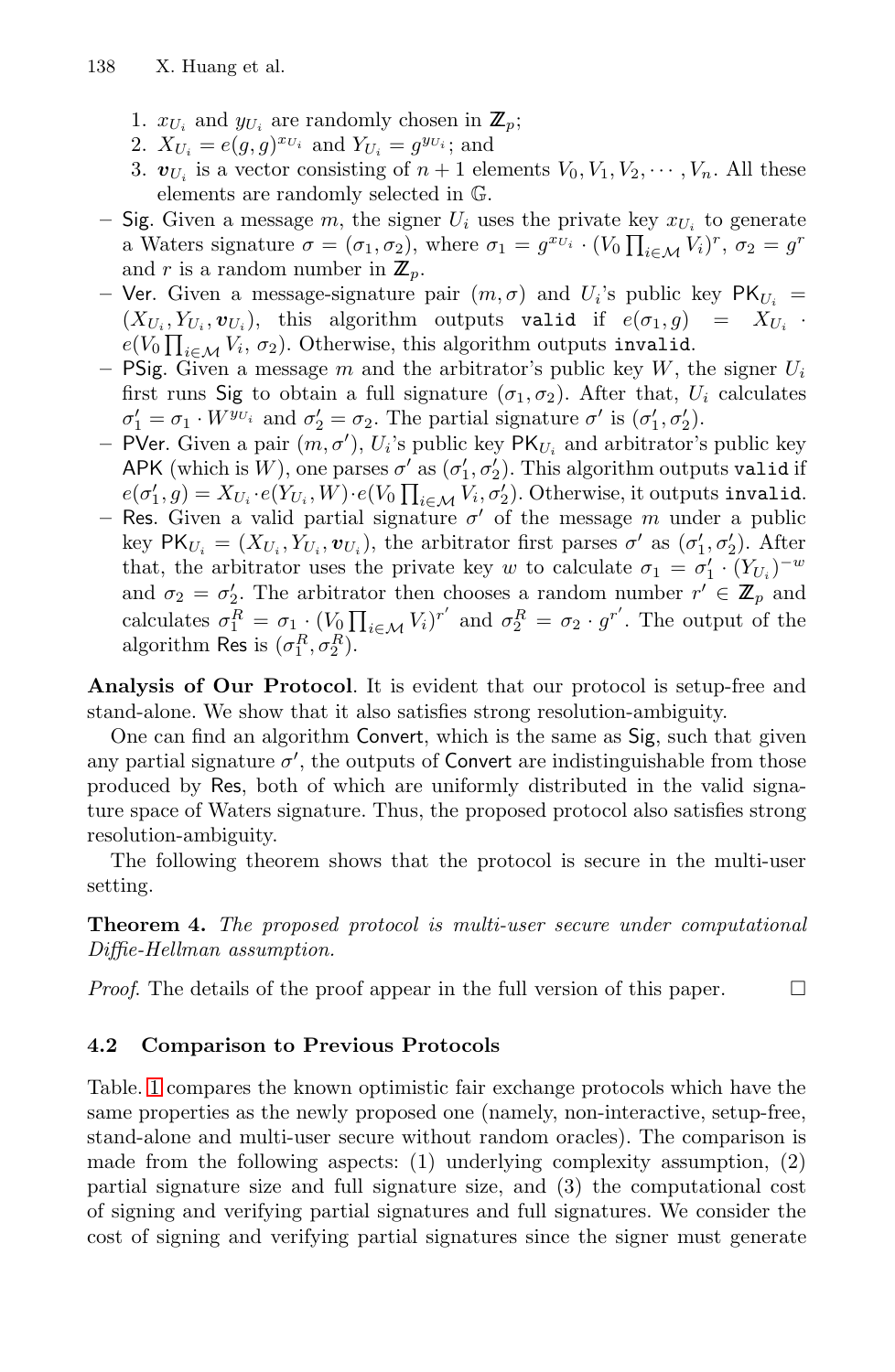- 1.  $x_{U_i}$  and  $y_{U_i}$  are randomly chosen in  $\mathbb{Z}_p$ ;
- 2.  $X_{U_i} = e(g, g)^{x_{U_i}}$  and  $Y_{U_i} = g^{y_{U_i}}$ ; and
- 3.  $v_{U_i}$  is a vector consisting of  $n + 1$  elements  $V_0, V_1, V_2, \cdots, V_n$ . All these elements are randomly selected in G.
- **–** Sig. Given a message m, the signer  $U_i$  uses the private key  $x_{U_i}$  to generate a Waters signature  $\sigma = (\sigma_1, \sigma_2)$ , where  $\sigma_1 = g^{x_{U_i}} \cdot (V_0 \prod_{i \in \mathcal{M}} V_i)^r$ ,  $\sigma_2 = g^r$ <br>and r is a random number in  $\mathbb{Z}$ and r is a random number in  $\mathbb{Z}_p$ .
- **–** Ver. Given a message-signature pair  $(m, \sigma)$  and  $U_i$ 's public key  $PK_{U_i}$  =  $(X_{U_i}, Y_{U_i}, \boldsymbol{v}_{U_i})$ , this algorithm outputs valid if  $e(\sigma_1, g) = X_{U_i}$ .  $e(V_0 \prod_{i \in \mathcal{M}} V_i, \sigma_2)$ . Otherwise, this algorithm outputs invalid.<br>PSig Civen a message m and the arbitrator's public key W.
- **–** PSig. Given a message m and the arbitrator's public key  $W$ , the signer  $U_i$ first runs Sig to obtain a full signature  $(\sigma_1, \sigma_2)$ . After that,  $U_i$  calculates  $\sigma'_1 = \sigma_1 \cdot W^{y_U}$  and  $\sigma'_2 = \sigma_2$ . The partial signature  $\sigma'$  is  $(\sigma'_1, \sigma'_2)$ .<br>
EVer Given a pair  $(m, \sigma')$ ,  $U$ 's public key EK<sub>V</sub>, and arbitrator's
- **–** PVer. Given a pair  $(m, \sigma')$ ,  $U_i$ 's public key  $PK_{U_i}$  and arbitrator's public key  $APK$  (which is  $W$ ) one parses  $\sigma'$  as  $(\sigma' \sigma')$ . This algorithm outputs valid if APK (which is W), one parses  $\sigma'$  as  $(\sigma'_1, \sigma'_2)$ . This algorithm outputs valid if  $e(\sigma'_1, g) = X_{U_i} \cdot e(Y_{U_i}, W) \cdot e(V_0 \prod_{i \in \mathcal{M}} V_i, \sigma'_2)$ . Otherwise, it outputs invalid.
- **–** Res. Given a valid partial signature  $\sigma'$  of the message m under a public<br>  $\kappa_{\rm UV}$  PK<sub>LL</sub> (X<sub>L</sub> V<sub>L</sub> 2<sub>LL</sub>) the arbitrator first parses  $\sigma'$  as  $(\sigma', \sigma')$ . After key  $PK_{U_i} = (X_{U_i}, Y_{U_i}, v_{U_i})$ , the arbitrator first parses  $\sigma'$  as  $(\sigma'_1, \sigma'_2)$ . After the arbitrator uses the private key *w* to calculate  $\sigma_i = \sigma' \cdot (Y_i, -w_i)$ that, the arbitrator uses the private key w to calculate  $\sigma_1 = \sigma'_1 \cdot (Y_{U_i})^{-w}$ <br>and  $\sigma_2 = \sigma'$ . The arbitrator then chooses a random number  $r' \in \mathbb{Z}$  and and  $\sigma_2 = \sigma'_2$ . The arbitrator then chooses a random number  $r' \in \mathbb{Z}_p$  and<br>coloration  $\sigma^R = \sigma$  (*V*  $\Pi$  *V*) $r'$  and  $\sigma^R = \sigma$ ,  $\sigma^{r'}$ . The output of the calculates  $\sigma_1^R = \sigma_1 \cdot (V_0 \prod_{i \in \mathcal{M}} V_i)^{r'}$  and  $\sigma_2^R = \sigma_2 \cdot g^{r'}$ . The output of the algorithm Res is  $(\sigma_1^R, \sigma_2^R)$ .

**Analysis of Our Protocol**. It is evident that our protocol is setup-free and stand-alone. We show that it also satisfies strong resolution-ambiguity.

One can find an algorithm Convert, which is the same as Sig, such that given any partial signature  $\sigma'$ , the outputs of Convert are indistinguishable from those<br>produced by Res, both of which are uniformly distributed in the valid signaproduced by Res, both of which are uniformly distributed in the valid signature space of Waters signature. Thus, the proposed protocol also satisfies strong resolution-ambiguity.

The following theorem shows that the protocol is secure in the multi-user setting.

**Theorem 4.** *The proposed protocol is multi-user secure under computational Diffie-Hellman assumption.*

*Proof.* The details of the proof appear in the full version of this paper.  $\Box$ 

## **4.2 Comparison to Previous Protocols**

Table. 1 compares the known optimistic fair exchange protocols which have the same properties as the newly proposed one (namely, non-interactive, setup-free, stand-alone and multi-user secure without random oracles). The comparison is made from the following aspects: (1) underlying complexity assumption, (2) partial signature size and full signature size, and (3) the computational cost of signing and verifying partial signatures and full signatures. We consider the cost of signing and verifying partial signatures since the signer must generate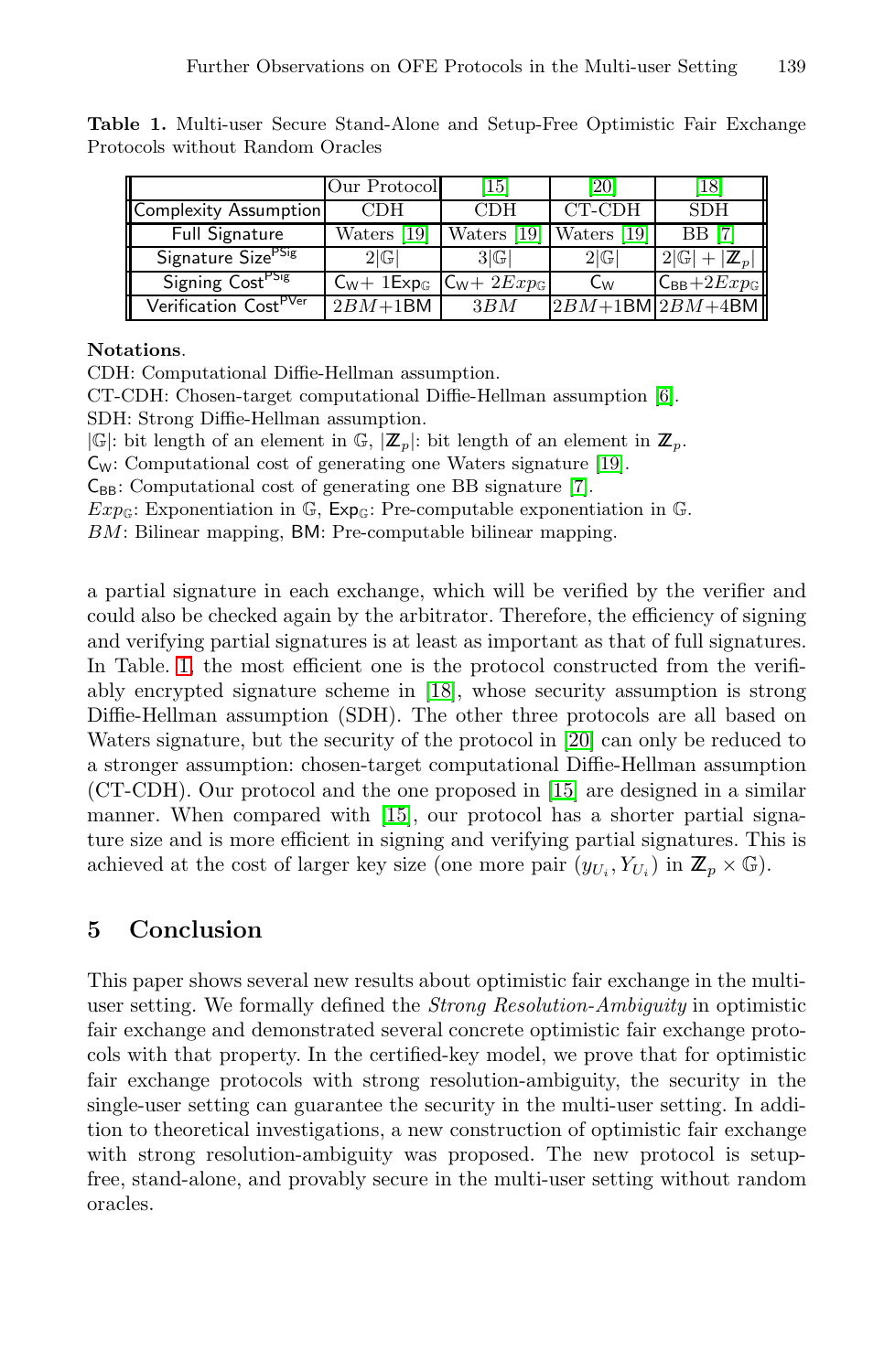**Table 1.** Multi-user Secure Stand-Alone and Setup-Free Optimistic Fair Exchange Protocols without Random Oracles

|                                   | Our Protocol                                    | $\left[15\right]$ | 20          | [18]                    |
|-----------------------------------|-------------------------------------------------|-------------------|-------------|-------------------------|
| Complexity Assumption             | CDH                                             | CDH               | CT-CDH      | <b>SDH</b>              |
| <b>Full Signature</b>             | Waters [19]                                     | Waters [19]       | Waters [19] | BB.                     |
| Signature Size <sup>PSig</sup>    | 2 G                                             | 3 G               | 2 G         | $ \mathbb{Z}_n $<br>2 G |
| Signing Cost <sup>PSig</sup>      | $C_W+1Exp_{\mathbb{G}}$ $C_W+2Exp_{\mathbb{G}}$ |                   | $C_{W}$     | $C_{BB} + 2Exp_G$       |
| Verification Cost <sup>PVer</sup> | $2BM+1BM$                                       | 3BM               |             | $2BM+1BM$ $2BM+4BM$     |

#### **Notations**.

CDH: Computational Diffie-Hellman assumption.

CT-CDH: Chosen-target computational Diffie-Hellman assumption [6]. SDH: Strong Diffie-Hellman assumption.

 $|\mathbb{G}|$ : bit length of an element in  $\mathbb{G}$ ,  $|\mathbb{Z}_p|$ : bit length of an element in  $\mathbb{Z}_p$ .

 $C_W$ : Computational cost of generating one Waters signature [19].

 $C_{BB}$ : Computational [cos](#page-17-2)t of generating one BB signature [7].

 $Exp_{\mathbb{G}}$ : Exponentiation in  $\mathbb{G}$ , Exp<sub> $\mathbb{G}$ </sub>: Pre-computable exponentiation in  $\mathbb{G}$ . *BM*: Bilinear mapping, BM: Pre-co[mpu](#page-17-5)table bilinear mapping.

a partial signature in each exch[ang](#page-16-6)e, which will be verified by the verifier and could also be [chec](#page-16-6)ked again by the arbitrator. Therefore, the efficiency of signing and verifying partial signatures is at least as important as that of full signatures. In Table. 1, the most efficient one is the protocol constructed from the verifiably encrypted signature scheme in [18], whose security assumption is strong Diffie-Hellman assumption (SDH). The other three protocols are all based on Waters signature, but the security of the protocol in [20] can only be reduced to a stronger assumption: chosen-target computational Diffie-Hellman assumption (CT-CDH). Our protocol and the one proposed in [15] are designed in a similar manner. When compared with [15], our protocol has a shorter partial signature size and is more efficient in signing and verifying partial signatures. This is achieved at the cost of larger key size (one more pair  $(y_{U_i}, Y_{U_i})$  in  $\mathbb{Z}_p \times \mathbb{G}$ ).

## **5 Conclusion**

This paper shows several new results about optimistic fair exchange in the multiuser setting. We formally defined the *Strong Resolution-Ambiguity* in optimistic fair exchange and demonstrated several concrete optimistic fair exchange protocols with that property. In the certified-key model, we prove that for optimistic fair exchange protocols with strong resolution-ambiguity, the security in the single-user setting can guarantee the security in the multi-user setting. In addition to theoretical investigations, a new construction of optimistic fair exchange with strong resolution-ambiguity was proposed. The new protocol is setupfree, stand-alone, and provably secure in the multi-user setting without random oracles.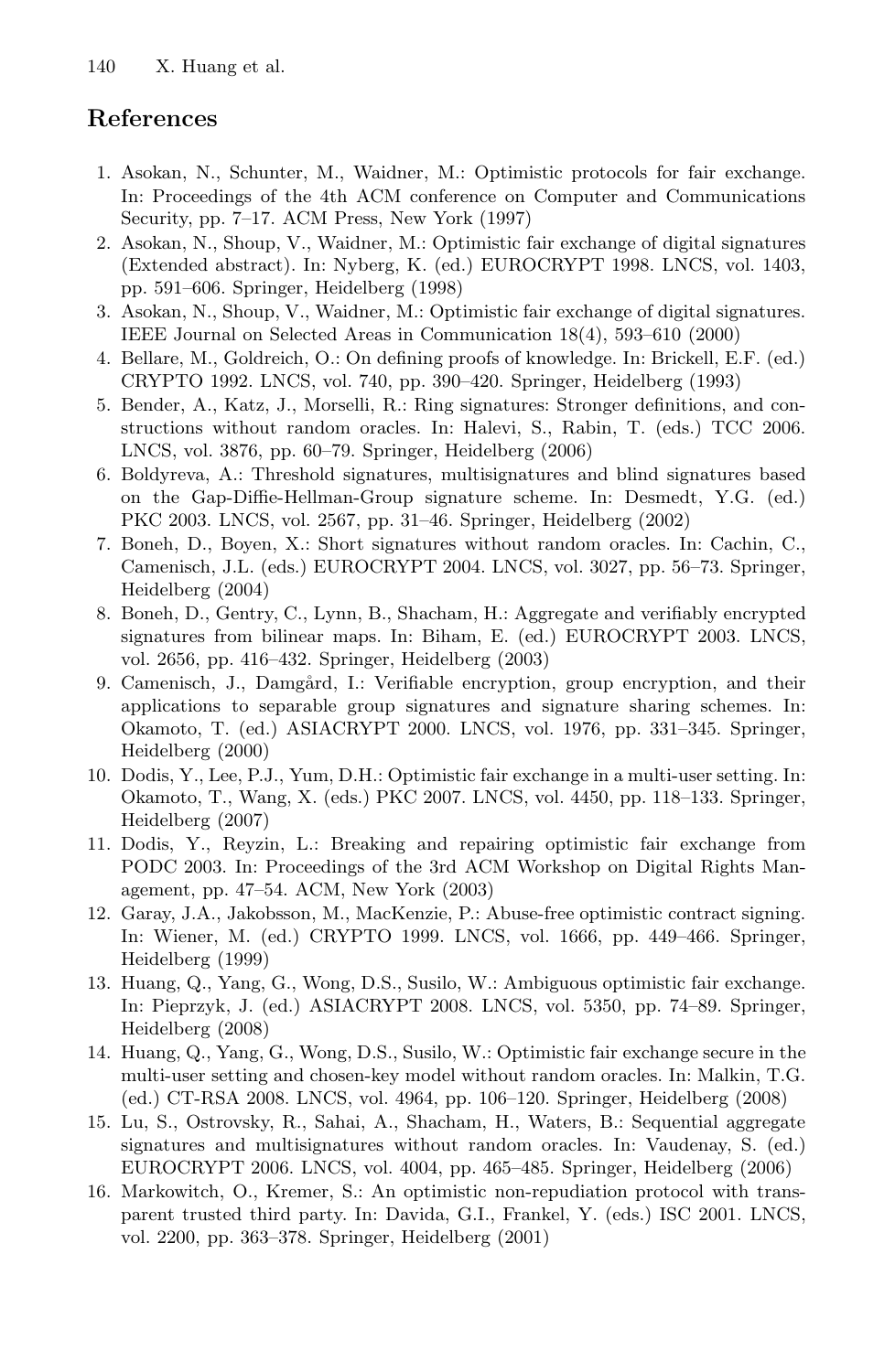## **References**

- <span id="page-16-0"></span>1. Asokan, N., Schunter, M., Waidner, M.: Optimistic protocols for fair exchange. In: Proceedings of the 4th ACM conference on Computer and Communications Security, pp. 7–17. ACM Press, New York (1997)
- 2. Asokan, N., Shoup, V., Waidner, M.: Optimistic fair exchange of digital signatures (Extended abstract). In: Nyberg, K. (ed.) EUROCRYPT 1998. LNCS, vol. 1403, pp. 591–606. Springer, Heidelberg (1998)
- <span id="page-16-9"></span>3. Asokan, N., Shoup, V., Waidner, M.: Optimistic fair exchange of digital signatures. IEEE Journal on Selected Areas in Communication 18(4), 593–610 (2000)
- <span id="page-16-8"></span>4. Bellare, M., Goldreich, O.: On defining proofs of knowledge. In: Brickell, E.F. (ed.) CRYPTO 1992. LNCS, vol. 740, pp. 390–420. Springer, Heidelberg (1993)
- <span id="page-16-11"></span>5. Bender, A., Katz, J., Morselli, R.: Ring signatures: Stronger definitions, and constructions without random oracles. In: Halevi, S., Rabin, T. (eds.) TCC 2006. LNCS, vol. 3876, pp. 60–79. Springer, Heidelberg (2006)
- <span id="page-16-12"></span>6. Boldyreva, A.: Threshold signatures, multisignatures and blind signatures based on the Gap-Diffie-Hellman-Group signature scheme. In: Desmedt, Y.G. (ed.) PKC 2003. LNCS, vol. 2567, pp. 31–46. Springer, Heidelberg (2002)
- <span id="page-16-13"></span>7. Boneh, D., Boyen, X.: Short signatures without random oracles. In: Cachin, C., Camenisch, J.L. (eds.) EUROCRYPT 2004. LNCS, vol. 3027, pp. 56–73. Springer, Heidelberg (2004)
- <span id="page-16-10"></span>8. Boneh, D., Gentry, C., Lynn, B., Shacham, H.: Aggregate and verifiably encrypted signatures from bilinear maps. In: Biham, E. (ed.) EUROCRYPT 2003. LNCS, vol. 2656, pp. 416–432. Springer, Heidelberg (2003)
- 9. Camenisch, J., Damgård, I.: Verifiable encryption, group encryption, and their applications to separable group signatures and signature sharing schemes. In: Okamoto, T. (ed.) ASIACRYPT 2000. LNCS, vol. 1976, pp. 331–345. Springer, Heidelberg (2000)
- <span id="page-16-1"></span>10. Dodis, Y., Lee, P.J., Yum, D.H.: Optimistic fair exchange in a multi-user setting. In: Okamoto, T., Wang, X. (eds.) PKC 2007. LNCS, vol. 4450, pp. 118–133. Springer, Heidelberg (2007)
- <span id="page-16-2"></span>11. Dodis, Y., Reyzin, L.: Breaking and repairing optimistic fair exchange from PODC 2003. In: Proceedings of the 3rd ACM Workshop on Digital Rights Management, pp. 47–54. ACM, New York (2003)
- <span id="page-16-3"></span>12. Garay, J.A., Jakobsson, M., MacKenzie, P.: Abuse-free optimistic contract signing. In: Wiener, M. (ed.) CRYPTO 1999. LNCS, vol. 1666, pp. 449–466. Springer, Heidelberg (1999)
- <span id="page-16-5"></span>13. Huang, Q., Yang, G., Wong, D.S., Susilo, W.: Ambiguous optimistic fair exchange. In: Pieprzyk, J. (ed.) ASIACRYPT 2008. LNCS, vol. 5350, pp. 74–89. Springer, Heidelberg (2008)
- <span id="page-16-7"></span>14. Huang, Q., Yang, G., Wong, D.S., Susilo, W.: Optimistic fair exchange secure in the multi-user setting and chosen-key model without random oracles. In: Malkin, T.G. (ed.) CT-RSA 2008. LNCS, vol. 4964, pp. 106–120. Springer, Heidelberg (2008)
- <span id="page-16-6"></span>15. Lu, S., Ostrovsky, R., Sahai, A., Shacham, H., Waters, B.: Sequential aggregate signatures and multisignatures without random oracles. In: Vaudenay, S. (ed.) EUROCRYPT 2006. LNCS, vol. 4004, pp. 465–485. Springer, Heidelberg (2006)
- <span id="page-16-4"></span>16. Markowitch, O., Kremer, S.: An optimistic non-repudiation protocol with transparent trusted third party. In: Davida, G.I., Frankel, Y. (eds.) ISC 2001. LNCS, vol. 2200, pp. 363–378. Springer, Heidelberg (2001)